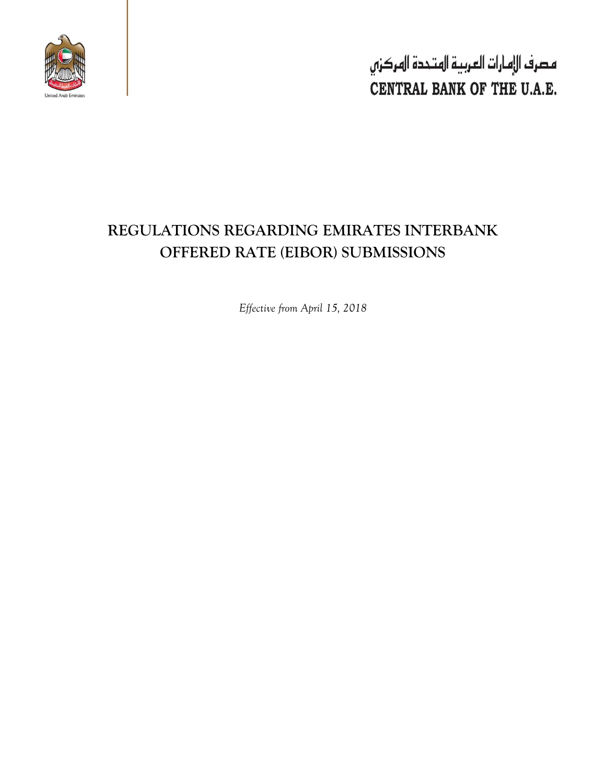

مصرف الإمارات العربية المتحدة المركزي CENTRAL BANK OF THE U.A.E.

# **REGULATIONS REGARDING EMIRATES INTERBANK OFFERED RATE (EIBOR) SUBMISSIONS**

*Effective from April 15, 2018*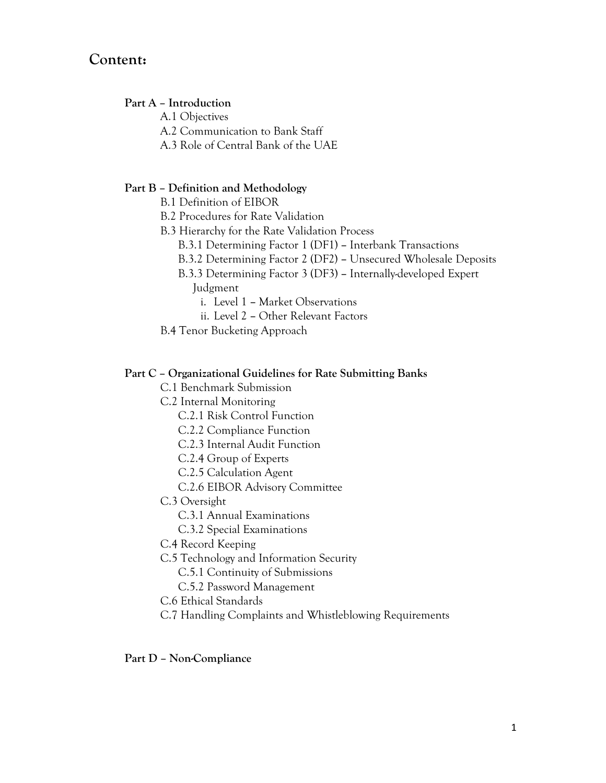## **Content:**

#### **Part A – Introduction**

A.1 Objectives

- A.2 Communication to Bank Staff
- A.3 Role of Central Bank of the UAE

#### **Part B – Definition and Methodology**

- B.1 Definition of EIBOR
- B.2 Procedures for Rate Validation
- B.3 Hierarchy for the Rate Validation Process
	- B.3.1 Determining Factor 1 (DF1) **–** Interbank Transactions
	- B.3.2 Determining Factor 2 (DF2) **–** Unsecured Wholesale Deposits
	- B.3.3 Determining Factor 3 (DF3) **–** Internally-developed Expert Judgment
		- i. Level 1 **–** Market Observations
		- ii. Level 2 **–** Other Relevant Factors
- B.4 Tenor Bucketing Approach

#### **Part C – Organizational Guidelines for Rate Submitting Banks**

- C.1 Benchmark Submission
- C.2 Internal Monitoring
	- C.2.1 Risk Control Function
	- C.2.2 Compliance Function
	- C.2.3 Internal Audit Function
	- C.2.4 Group of Experts
	- C.2.5 Calculation Agent
	- C.2.6 EIBOR Advisory Committee
- C.3 Oversight
	- C.3.1 Annual Examinations
	- C.3.2 Special Examinations
- C.4 Record Keeping
- C.5 Technology and Information Security
	- C.5.1 Continuity of Submissions
	- C.5.2 Password Management
- C.6 Ethical Standards
- C.7 Handling Complaints and Whistleblowing Requirements

#### **Part D – Non-Compliance**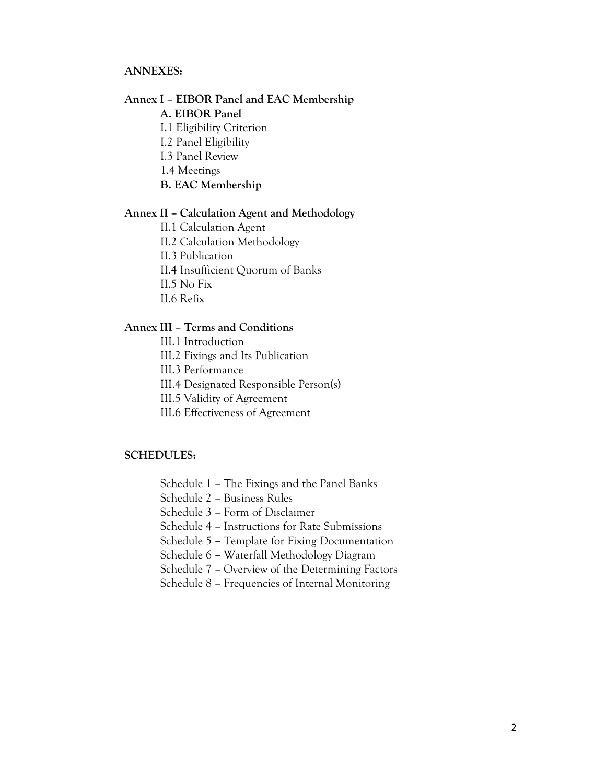#### **ANNEXES:**

#### **Annex I – EIBOR Panel and EAC Membership**

#### **A. EIBOR Panel**

- I.1 Eligibility Criterion
- I.2 Panel Eligibility
- I.3 Panel Review
- 1.4 Meetings
- **B. EAC Membership**

#### **Annex II – Calculation Agent and Methodology**

- II.1 Calculation Agent
- II.2 Calculation Methodology
- II.3 Publication
- II.4 Insufficient Quorum of Banks
- II.5 No Fix
- II.6 Refix

### **Annex III – Terms and Conditions**

- III.1 Introduction
- III.2 Fixings and Its Publication
- III.3 Performance
- III.4 Designated Responsible Person(s)
- III.5 Validity of Agreement
- III.6 Effectiveness of Agreement

#### **SCHEDULES:**

- Schedule 1 **–** The Fixings and the Panel Banks
- Schedule 2 **–** Business Rules
- Schedule 3 **–** Form of Disclaimer
- Schedule 4 **–** Instructions for Rate Submissions
- Schedule 5 **–** Template for Fixing Documentation
- Schedule 6 **–** Waterfall Methodology Diagram
- Schedule 7 **–** Overview of the Determining Factors
- Schedule 8 **–** Frequencies of Internal Monitoring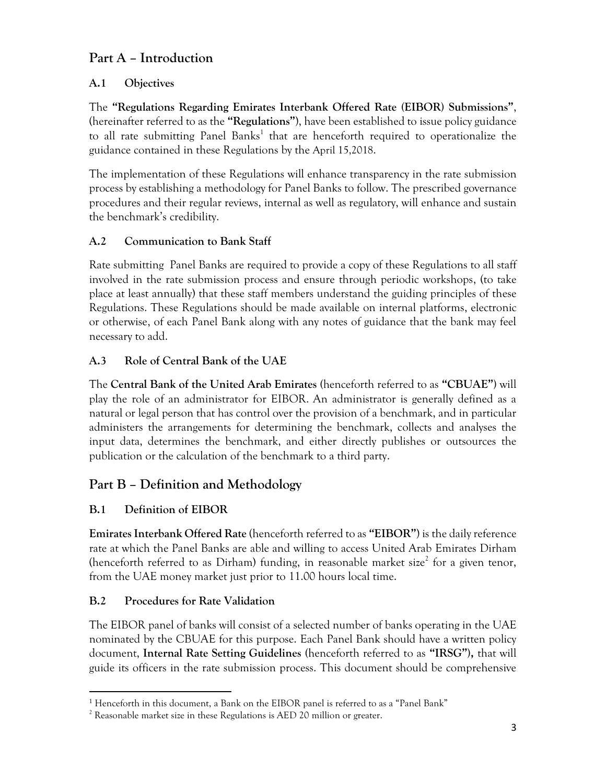## **Part A – Introduction**

## **A.1 Objectives**

The **"Regulations Regarding Emirates Interbank Offered Rate (EIBOR) Submissions"**, (hereinafter referred to as the **"Regulations"**), have been established to issue policy guidance to all rate submitting Panel Banks<sup>1</sup> that are henceforth required to operationalize the guidance contained in these Regulations by the April 15,2018.

The implementation of these Regulations will enhance transparency in the rate submission process by establishing a methodology for Panel Banks to follow. The prescribed governance procedures and their regular reviews, internal as well as regulatory, will enhance and sustain the benchmark's credibility.

## **A.2 Communication to Bank Staff**

Rate submitting Panel Banks are required to provide a copy of these Regulations to all staff involved in the rate submission process and ensure through periodic workshops, (to take place at least annually) that these staff members understand the guiding principles of these Regulations. These Regulations should be made available on internal platforms, electronic or otherwise, of each Panel Bank along with any notes of guidance that the bank may feel necessary to add.

## **A.3 Role of Central Bank of the UAE**

The **Central Bank of the United Arab Emirates (**henceforth referred to as **"CBUAE")** will play the role of an administrator for EIBOR. An administrator is generally defined as a natural or legal person that has control over the provision of a benchmark, and in particular administers the arrangements for determining the benchmark, collects and analyses the input data, determines the benchmark, and either directly publishes or outsources the publication or the calculation of the benchmark to a third party.

## **Part B – Definition and Methodology**

## **B.1 Definition of EIBOR**

**Emirates Interbank Offered Rate** (henceforth referred to as **"EIBOR"**) is the daily reference rate at which the Panel Banks are able and willing to access United Arab Emirates Dirham (henceforth referred to as Dirham) funding, in reasonable market size<sup>2</sup> for a given tenor, from the UAE money market just prior to 11.00 hours local time.

## **B.2 Procedures for Rate Validation**

The EIBOR panel of banks will consist of a selected number of banks operating in the UAE nominated by the CBUAE for this purpose. Each Panel Bank should have a written policy document, **Internal Rate Setting Guidelines (**henceforth referred to as **"IRSG"),** that will guide its officers in the rate submission process. This document should be comprehensive

 $\overline{\phantom{a}}$ <sup>1</sup> Henceforth in this document, a Bank on the EIBOR panel is referred to as a "Panel Bank"

 $2$  Reasonable market size in these Regulations is AED 20 million or greater.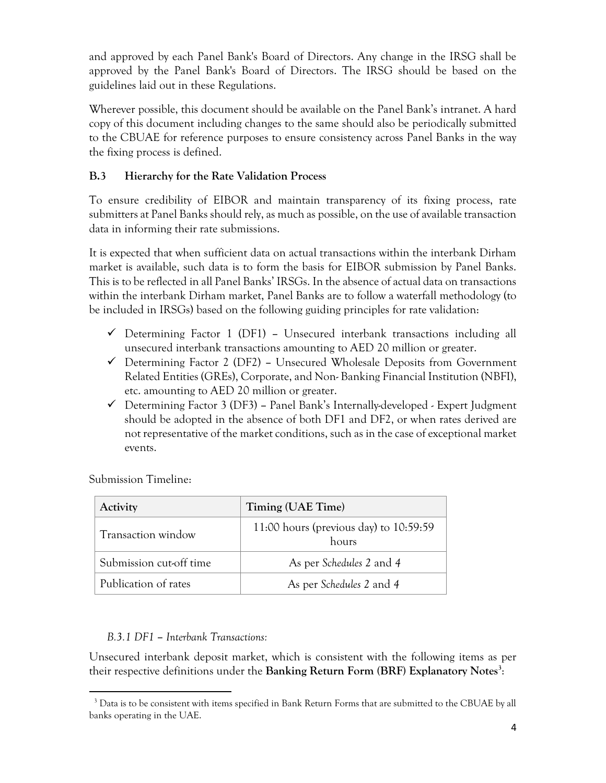and approved by each Panel Bank's Board of Directors. Any change in the IRSG shall be approved by the Panel Bank's Board of Directors. The IRSG should be based on the guidelines laid out in these Regulations.

Wherever possible, this document should be available on the Panel Bank's intranet. A hard copy of this document including changes to the same should also be periodically submitted to the CBUAE for reference purposes to ensure consistency across Panel Banks in the way the fixing process is defined.

## **B.3 Hierarchy for the Rate Validation Process**

To ensure credibility of EIBOR and maintain transparency of its fixing process, rate submitters at Panel Banks should rely, as much as possible, on the use of available transaction data in informing their rate submissions.

It is expected that when sufficient data on actual transactions within the interbank Dirham market is available, such data is to form the basis for EIBOR submission by Panel Banks. This is to be reflected in all Panel Banks' IRSGs. In the absence of actual data on transactions within the interbank Dirham market, Panel Banks are to follow a waterfall methodology (to be included in IRSGs) based on the following guiding principles for rate validation:

- Determining Factor 1 (DF1) **–** Unsecured interbank transactions including all unsecured interbank transactions amounting to AED 20 million or greater.
- Determining Factor 2 (DF2) **–** Unsecured Wholesale Deposits from Government Related Entities (GREs), Corporate, and Non- Banking Financial Institution (NBFI), etc. amounting to AED 20 million or greater.
- Determining Factor 3 (DF3) **–** Panel Bank's Internally-developed Expert Judgment should be adopted in the absence of both DF1 and DF2, or when rates derived are not representative of the market conditions, such as in the case of exceptional market events.

| Activity                | Timing (UAE Time)                                 |
|-------------------------|---------------------------------------------------|
| Transaction window      | 11:00 hours (previous day) to $10:59:59$<br>hours |
| Submission cut-off time | As per Schedules 2 and 4                          |
| Publication of rates    | As per Schedules 2 and 4                          |

Submission Timeline:

 $\overline{\phantom{a}}$ 

### *B.3.1 DF1* **–** *Interbank Transactions:*

Unsecured interbank deposit market, which is consistent with the following items as per their respective definitions under the **Banking Return Form (BRF) Explanatory Notes<sup>3</sup>** :

<sup>&</sup>lt;sup>3</sup> Data is to be consistent with items specified in Bank Return Forms that are submitted to the CBUAE by all banks operating in the UAE.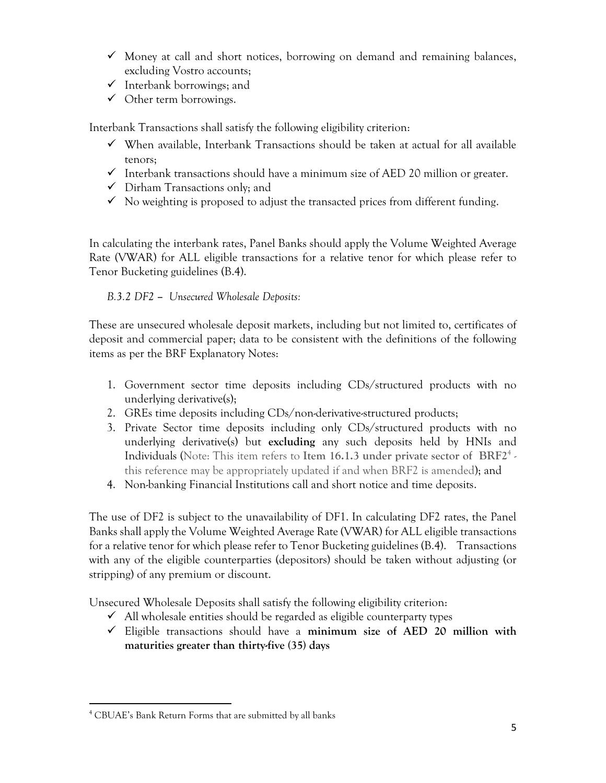- $\checkmark$  Money at call and short notices, borrowing on demand and remaining balances, excluding Vostro accounts;
- $\checkmark$  Interbank borrowings; and
- $\checkmark$  Other term borrowings.

Interbank Transactions shall satisfy the following eligibility criterion:

- When available, Interbank Transactions should be taken at actual for all available tenors;
- $\checkmark$  Interbank transactions should have a minimum size of AED 20 million or greater.
- $\checkmark$  Dirham Transactions only; and
- $\checkmark$  No weighting is proposed to adjust the transacted prices from different funding.

In calculating the interbank rates, Panel Banks should apply the Volume Weighted Average Rate (VWAR) for ALL eligible transactions for a relative tenor for which please refer to Tenor Bucketing guidelines (B.4).

## *B.3.2 DF2* **–** *Unsecured Wholesale Deposits:*

These are unsecured wholesale deposit markets, including but not limited to, certificates of deposit and commercial paper; data to be consistent with the definitions of the following items as per the BRF Explanatory Notes:

- 1. Government sector time deposits including CDs/structured products with no underlying derivative(s);
- 2. GREs time deposits including CDs/non-derivative-structured products;
- 3. Private Sector time deposits including only CDs/structured products with no underlying derivative(s) but **excluding** any such deposits held by HNIs and Individuals (Note: This item refers to **Item 16.1.3 under private sector of BRF2**<sup>4</sup> this reference may be appropriately updated if and when BRF2 is amended); and
- 4. Non-banking Financial Institutions call and short notice and time deposits.

The use of DF2 is subject to the unavailability of DF1. In calculating DF2 rates, the Panel Banks shall apply the Volume Weighted Average Rate (VWAR) for ALL eligible transactions for a relative tenor for which please refer to Tenor Bucketing guidelines (B.4). Transactions with any of the eligible counterparties (depositors) should be taken without adjusting (or stripping) of any premium or discount.

Unsecured Wholesale Deposits shall satisfy the following eligibility criterion:

- $\checkmark$  All wholesale entities should be regarded as eligible counterparty types
- Eligible transactions should have a **minimum size of AED 20 million with maturities greater than thirty-five (35) days**

 $\overline{\phantom{a}}$ <sup>4</sup> CBUAE's Bank Return Forms that are submitted by all banks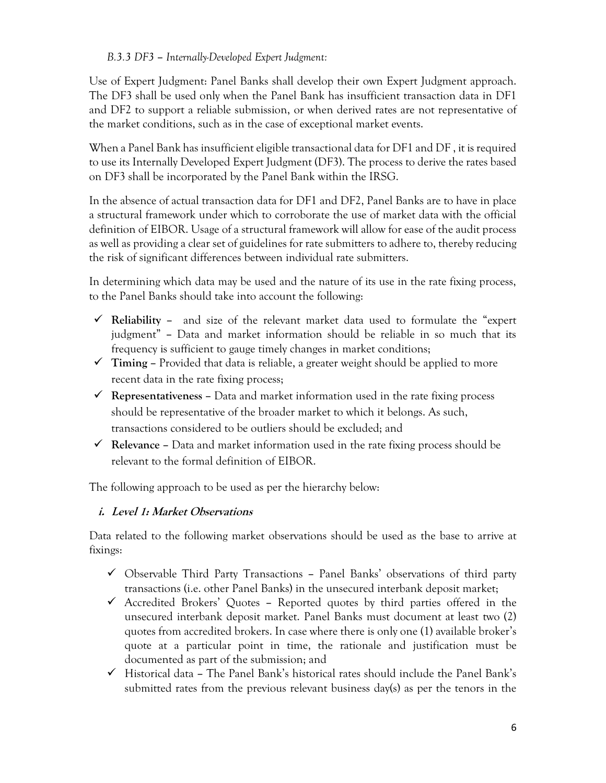### *B.3.3 DF3* **–** *Internally-Developed Expert Judgment:*

Use of Expert Judgment: Panel Banks shall develop their own Expert Judgment approach. The DF3 shall be used only when the Panel Bank has insufficient transaction data in DF1 and DF2 to support a reliable submission, or when derived rates are not representative of the market conditions, such as in the case of exceptional market events.

When a Panel Bank has insufficient eligible transactional data for DF1 and DF , it is required to use its Internally Developed Expert Judgment (DF3). The process to derive the rates based on DF3 shall be incorporated by the Panel Bank within the IRSG.

In the absence of actual transaction data for DF1 and DF2, Panel Banks are to have in place a structural framework under which to corroborate the use of market data with the official definition of EIBOR. Usage of a structural framework will allow for ease of the audit process as well as providing a clear set of guidelines for rate submitters to adhere to, thereby reducing the risk of significant differences between individual rate submitters.

In determining which data may be used and the nature of its use in the rate fixing process, to the Panel Banks should take into account the following:

- **Reliability –** and size of the relevant market data used to formulate the "expert judgment" **–** Data and market information should be reliable in so much that its frequency is sufficient to gauge timely changes in market conditions;
- **Timing –** Provided that data is reliable, a greater weight should be applied to more recent data in the rate fixing process;
- **Representativeness –** Data and market information used in the rate fixing process should be representative of the broader market to which it belongs. As such, transactions considered to be outliers should be excluded; and
- **Relevance –** Data and market information used in the rate fixing process should be relevant to the formal definition of EIBOR.

The following approach to be used as per the hierarchy below:

## **i. Level 1: Market Observations**

Data related to the following market observations should be used as the base to arrive at fixings:

- Observable Third Party Transactions **–** Panel Banks' observations of third party transactions (i.e. other Panel Banks) in the unsecured interbank deposit market;
- Accredited Brokers' Quotes **–** Reported quotes by third parties offered in the unsecured interbank deposit market. Panel Banks must document at least two (2) quotes from accredited brokers. In case where there is only one (1) available broker's quote at a particular point in time, the rationale and justification must be documented as part of the submission; and
- Historical data **–** The Panel Bank's historical rates should include the Panel Bank's submitted rates from the previous relevant business day(s) as per the tenors in the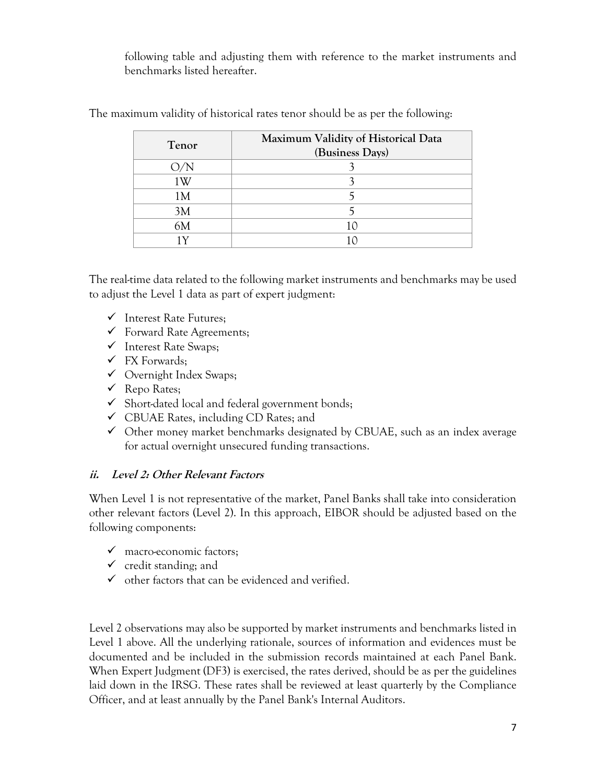following table and adjusting them with reference to the market instruments and benchmarks listed hereafter.

| Tenor | Maximum Validity of Historical Data<br>(Business Days) |  |  |  |  |  |
|-------|--------------------------------------------------------|--|--|--|--|--|
|       |                                                        |  |  |  |  |  |
|       |                                                        |  |  |  |  |  |
| 1 W   |                                                        |  |  |  |  |  |
| 1М    |                                                        |  |  |  |  |  |
| 3M    |                                                        |  |  |  |  |  |
| 6M    |                                                        |  |  |  |  |  |
|       |                                                        |  |  |  |  |  |

The maximum validity of historical rates tenor should be as per the following:

The real-time data related to the following market instruments and benchmarks may be used to adjust the Level 1 data as part of expert judgment:

- $\checkmark$  Interest Rate Futures;
- $\checkmark$  Forward Rate Agreements;
- $\checkmark$  Interest Rate Swaps;
- $\checkmark$  FX Forwards;
- Overnight Index Swaps;
- $\checkmark$  Repo Rates;
- $\checkmark$  Short-dated local and federal government bonds;
- $\checkmark$  CBUAE Rates, including CD Rates; and
- $\checkmark$  Other money market benchmarks designated by CBUAE, such as an index average for actual overnight unsecured funding transactions.

### **ii. Level 2: Other Relevant Factors**

When Level 1 is not representative of the market, Panel Banks shall take into consideration other relevant factors (Level 2). In this approach, EIBOR should be adjusted based on the following components:

- $\checkmark$  macro-economic factors;
- $\checkmark$  credit standing; and
- $\checkmark$  other factors that can be evidenced and verified.

Level 2 observations may also be supported by market instruments and benchmarks listed in Level 1 above. All the underlying rationale, sources of information and evidences must be documented and be included in the submission records maintained at each Panel Bank. When Expert Judgment (DF3) is exercised, the rates derived, should be as per the guidelines laid down in the IRSG. These rates shall be reviewed at least quarterly by the Compliance Officer, and at least annually by the Panel Bank's Internal Auditors.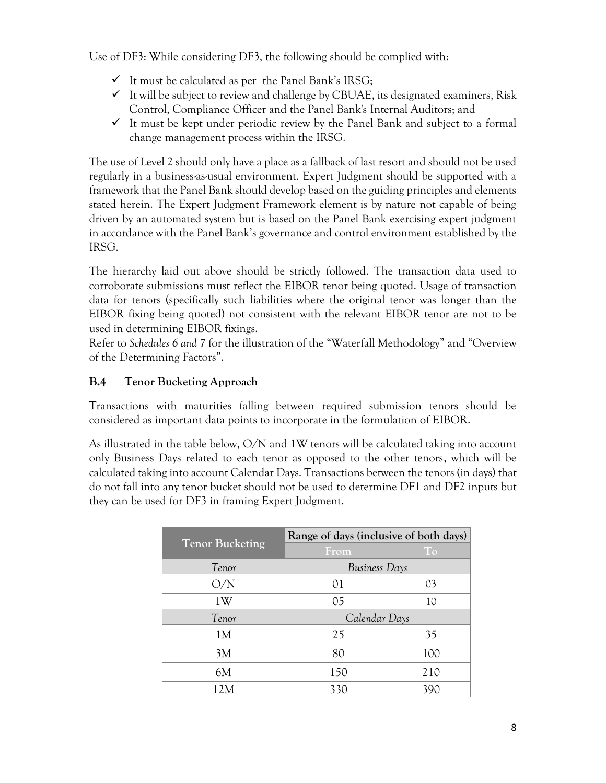Use of DF3: While considering DF3, the following should be complied with:

- $\checkmark$  It must be calculated as per the Panel Bank's IRSG;
- $\checkmark$  It will be subject to review and challenge by CBUAE, its designated examiners, Risk Control, Compliance Officer and the Panel Bank's Internal Auditors; and
- $\checkmark$  It must be kept under periodic review by the Panel Bank and subject to a formal change management process within the IRSG.

The use of Level 2 should only have a place as a fallback of last resort and should not be used regularly in a business-as-usual environment. Expert Judgment should be supported with a framework that the Panel Bank should develop based on the guiding principles and elements stated herein. The Expert Judgment Framework element is by nature not capable of being driven by an automated system but is based on the Panel Bank exercising expert judgment in accordance with the Panel Bank's governance and control environment established by the IRSG.

The hierarchy laid out above should be strictly followed. The transaction data used to corroborate submissions must reflect the EIBOR tenor being quoted. Usage of transaction data for tenors (specifically such liabilities where the original tenor was longer than the EIBOR fixing being quoted) not consistent with the relevant EIBOR tenor are not to be used in determining EIBOR fixings.

Refer to *Schedules 6 and 7* for the illustration of the "Waterfall Methodology" and "Overview of the Determining Factors".

## **B.4 Tenor Bucketing Approach**

Transactions with maturities falling between required submission tenors should be considered as important data points to incorporate in the formulation of EIBOR.

As illustrated in the table below, O/N and 1W tenors will be calculated taking into account only Business Days related to each tenor as opposed to the other tenors, which will be calculated taking into account Calendar Days. Transactions between the tenors (in days) that do not fall into any tenor bucket should not be used to determine DF1 and DF2 inputs but they can be used for DF3 in framing Expert Judgment.

|                        | Range of days (inclusive of both days) |             |  |  |  |  |
|------------------------|----------------------------------------|-------------|--|--|--|--|
| <b>Tenor Bucketing</b> | From                                   | $T_{\rm O}$ |  |  |  |  |
| Tenor                  | Business Days                          |             |  |  |  |  |
| O/N                    | 01                                     | 03          |  |  |  |  |
| 1W                     | 0 <sub>5</sub>                         | 10          |  |  |  |  |
| Tenor                  | Calendar Days                          |             |  |  |  |  |
| 1M                     | 25                                     | 35          |  |  |  |  |
| 3M                     | 80                                     | 100         |  |  |  |  |
| 6M                     | 150                                    | 210         |  |  |  |  |
| 12M                    | 330                                    | 39C         |  |  |  |  |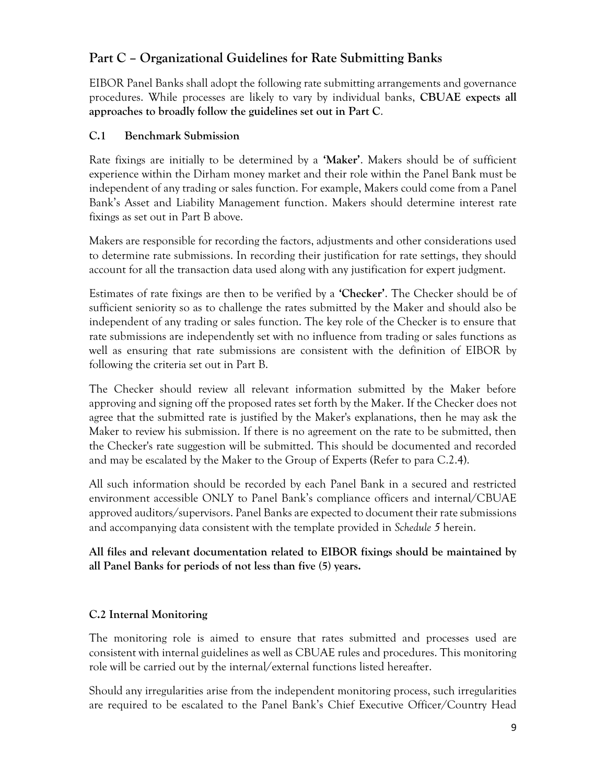## **Part C – Organizational Guidelines for Rate Submitting Banks**

EIBOR Panel Banks shall adopt the following rate submitting arrangements and governance procedures. While processes are likely to vary by individual banks, **CBUAE expects all approaches to broadly follow the guidelines set out in Part C**.

### **C.1 Benchmark Submission**

Rate fixings are initially to be determined by a **'Maker'**. Makers should be of sufficient experience within the Dirham money market and their role within the Panel Bank must be independent of any trading or sales function. For example, Makers could come from a Panel Bank's Asset and Liability Management function. Makers should determine interest rate fixings as set out in Part B above.

Makers are responsible for recording the factors, adjustments and other considerations used to determine rate submissions. In recording their justification for rate settings, they should account for all the transaction data used along with any justification for expert judgment.

Estimates of rate fixings are then to be verified by a **'Checker'**. The Checker should be of sufficient seniority so as to challenge the rates submitted by the Maker and should also be independent of any trading or sales function. The key role of the Checker is to ensure that rate submissions are independently set with no influence from trading or sales functions as well as ensuring that rate submissions are consistent with the definition of EIBOR by following the criteria set out in Part B.

The Checker should review all relevant information submitted by the Maker before approving and signing off the proposed rates set forth by the Maker. If the Checker does not agree that the submitted rate is justified by the Maker's explanations, then he may ask the Maker to review his submission. If there is no agreement on the rate to be submitted, then the Checker's rate suggestion will be submitted. This should be documented and recorded and may be escalated by the Maker to the Group of Experts (Refer to para C.2.4).

All such information should be recorded by each Panel Bank in a secured and restricted environment accessible ONLY to Panel Bank's compliance officers and internal/CBUAE approved auditors/supervisors. Panel Banks are expected to document their rate submissions and accompanying data consistent with the template provided in *Schedule 5* herein.

**All files and relevant documentation related to EIBOR fixings should be maintained by all Panel Banks for periods of not less than five (5) years.**

## **C.2 Internal Monitoring**

The monitoring role is aimed to ensure that rates submitted and processes used are consistent with internal guidelines as well as CBUAE rules and procedures. This monitoring role will be carried out by the internal/external functions listed hereafter.

Should any irregularities arise from the independent monitoring process, such irregularities are required to be escalated to the Panel Bank's Chief Executive Officer/Country Head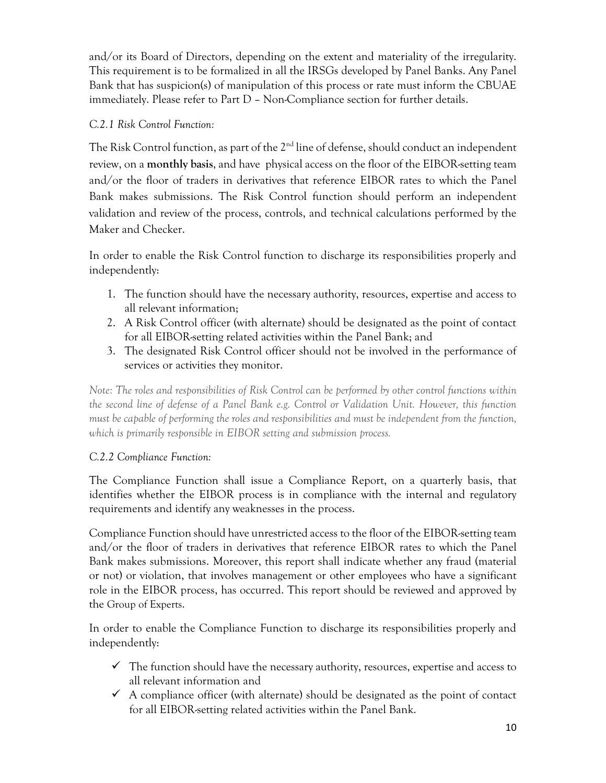and/or its Board of Directors, depending on the extent and materiality of the irregularity. This requirement is to be formalized in all the IRSGs developed by Panel Banks. Any Panel Bank that has suspicion(s) of manipulation of this process or rate must inform the CBUAE immediately. Please refer to Part D – Non-Compliance section for further details.

## *C.2.1 Risk Control Function:*

The Risk Control function, as part of the  $2<sup>nd</sup>$  line of defense, should conduct an independent review, on a **monthly basis**, and have physical access on the floor of the EIBOR-setting team and/or the floor of traders in derivatives that reference EIBOR rates to which the Panel Bank makes submissions. The Risk Control function should perform an independent validation and review of the process, controls, and technical calculations performed by the Maker and Checker.

In order to enable the Risk Control function to discharge its responsibilities properly and independently:

- 1. The function should have the necessary authority, resources, expertise and access to all relevant information;
- 2. A Risk Control officer (with alternate) should be designated as the point of contact for all EIBOR-setting related activities within the Panel Bank; and
- 3. The designated Risk Control officer should not be involved in the performance of services or activities they monitor.

*Note: The roles and responsibilities of Risk Control can be performed by other control functions within the second line of defense of a Panel Bank e.g. Control or Validation Unit. However, this function must be capable of performing the roles and responsibilities and must be independent from the function, which is primarily responsible in EIBOR setting and submission process.*

## *C.2.2 Compliance Function:*

The Compliance Function shall issue a Compliance Report, on a quarterly basis, that identifies whether the EIBOR process is in compliance with the internal and regulatory requirements and identify any weaknesses in the process.

Compliance Function should have unrestricted access to the floor of the EIBOR-setting team and/or the floor of traders in derivatives that reference EIBOR rates to which the Panel Bank makes submissions. Moreover, this report shall indicate whether any fraud (material or not) or violation, that involves management or other employees who have a significant role in the EIBOR process, has occurred. This report should be reviewed and approved by the Group of Experts.

In order to enable the Compliance Function to discharge its responsibilities properly and independently:

- $\checkmark$  The function should have the necessary authority, resources, expertise and access to all relevant information and
- $\checkmark$  A compliance officer (with alternate) should be designated as the point of contact for all EIBOR-setting related activities within the Panel Bank.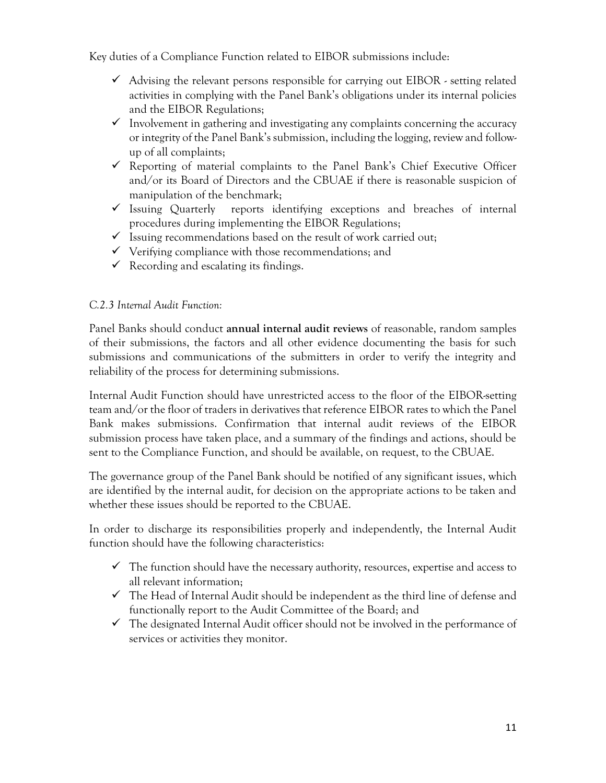Key duties of a Compliance Function related to EIBOR submissions include:

- $\checkmark$  Advising the relevant persons responsible for carrying out EIBOR setting related activities in complying with the Panel Bank's obligations under its internal policies and the EIBOR Regulations;
- Involvement in gathering and investigating any complaints concerning the accuracy or integrity of the Panel Bank's submission, including the logging, review and followup of all complaints;
- Reporting of material complaints to the Panel Bank's Chief Executive Officer and/or its Board of Directors and the CBUAE if there is reasonable suspicion of manipulation of the benchmark;
- $\checkmark$  Issuing Quarterly reports identifying exceptions and breaches of internal procedures during implementing the EIBOR Regulations;
- $\checkmark$  Issuing recommendations based on the result of work carried out;
- $\checkmark$  Verifying compliance with those recommendations; and
- $\checkmark$  Recording and escalating its findings.

### *C.2.3 Internal Audit Function:*

Panel Banks should conduct **annual internal audit reviews** of reasonable, random samples of their submissions, the factors and all other evidence documenting the basis for such submissions and communications of the submitters in order to verify the integrity and reliability of the process for determining submissions.

Internal Audit Function should have unrestricted access to the floor of the EIBOR-setting team and/or the floor of traders in derivatives that reference EIBOR rates to which the Panel Bank makes submissions. Confirmation that internal audit reviews of the EIBOR submission process have taken place, and a summary of the findings and actions, should be sent to the Compliance Function, and should be available, on request, to the CBUAE.

The governance group of the Panel Bank should be notified of any significant issues, which are identified by the internal audit, for decision on the appropriate actions to be taken and whether these issues should be reported to the CBUAE.

In order to discharge its responsibilities properly and independently, the Internal Audit function should have the following characteristics:

- $\checkmark$  The function should have the necessary authority, resources, expertise and access to all relevant information;
- $\checkmark$  The Head of Internal Audit should be independent as the third line of defense and functionally report to the Audit Committee of the Board; and
- $\checkmark$  The designated Internal Audit officer should not be involved in the performance of services or activities they monitor.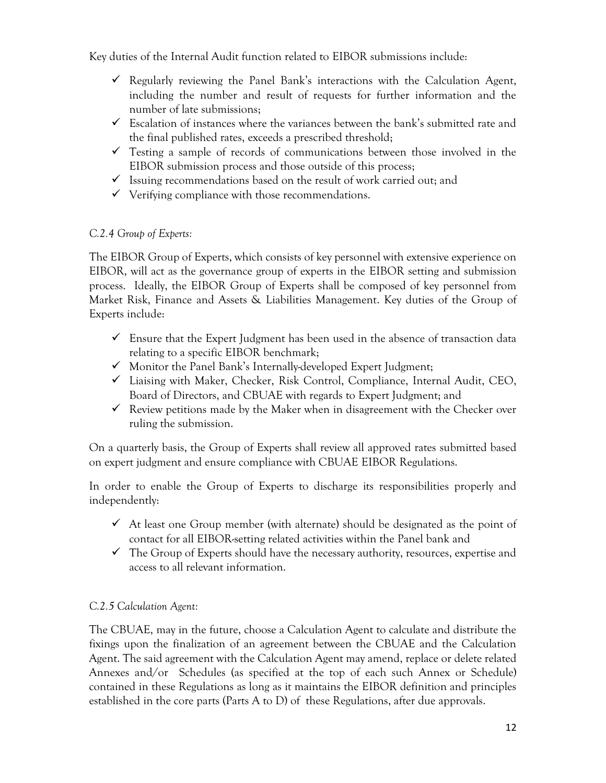Key duties of the Internal Audit function related to EIBOR submissions include:

- $\checkmark$  Regularly reviewing the Panel Bank's interactions with the Calculation Agent, including the number and result of requests for further information and the number of late submissions;
- $\checkmark$  Escalation of instances where the variances between the bank's submitted rate and the final published rates, exceeds a prescribed threshold;
- $\checkmark$  Testing a sample of records of communications between those involved in the EIBOR submission process and those outside of this process;
- $\checkmark$  Issuing recommendations based on the result of work carried out; and
- $\checkmark$  Verifying compliance with those recommendations.

## *C.2.4 Group of Experts:*

The EIBOR Group of Experts, which consists of key personnel with extensive experience on EIBOR, will act as the governance group of experts in the EIBOR setting and submission process. Ideally, the EIBOR Group of Experts shall be composed of key personnel from Market Risk, Finance and Assets & Liabilities Management. Key duties of the Group of Experts include:

- $\checkmark$  Ensure that the Expert Judgment has been used in the absence of transaction data relating to a specific EIBOR benchmark;
- $\checkmark$  Monitor the Panel Bank's Internally-developed Expert Judgment;
- $\checkmark$  Liaising with Maker, Checker, Risk Control, Compliance, Internal Audit, CEO, Board of Directors, and CBUAE with regards to Expert Judgment; and
- $\checkmark$  Review petitions made by the Maker when in disagreement with the Checker over ruling the submission.

On a quarterly basis, the Group of Experts shall review all approved rates submitted based on expert judgment and ensure compliance with CBUAE EIBOR Regulations.

In order to enable the Group of Experts to discharge its responsibilities properly and independently:

- $\checkmark$  At least one Group member (with alternate) should be designated as the point of contact for all EIBOR-setting related activities within the Panel bank and
- $\checkmark$  The Group of Experts should have the necessary authority, resources, expertise and access to all relevant information.

## *C.2.5 Calculation Agent:*

The CBUAE, may in the future, choose a Calculation Agent to calculate and distribute the fixings upon the finalization of an agreement between the CBUAE and the Calculation Agent. The said agreement with the Calculation Agent may amend, replace or delete related Annexes and/or Schedules (as specified at the top of each such Annex or Schedule) contained in these Regulations as long as it maintains the EIBOR definition and principles established in the core parts (Parts A to D) of these Regulations, after due approvals.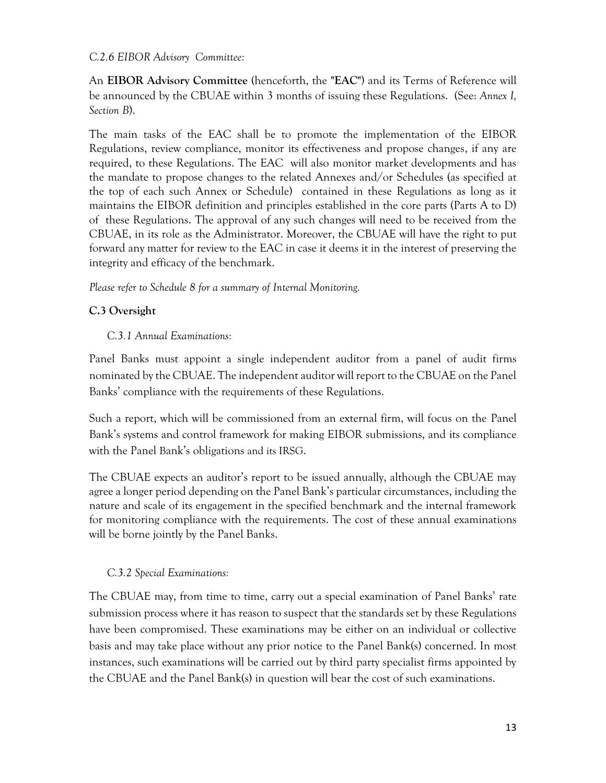#### *C.2.6 EIBOR Advisory Committee:*

An **EIBOR Advisory Committee** (henceforth, the **"EAC"**) and its Terms of Reference will be announced by the CBUAE within 3 months of issuing these Regulations. (See: *Annex I, Section B*).

The main tasks of the EAC shall be to promote the implementation of the EIBOR Regulations, review compliance, monitor its effectiveness and propose changes, if any are required, to these Regulations. The EAC will also monitor market developments and has the mandate to propose changes to the related Annexes and/or Schedules (as specified at the top of each such Annex or Schedule) contained in these Regulations as long as it maintains the EIBOR definition and principles established in the core parts (Parts A to D) of these Regulations. The approval of any such changes will need to be received from the CBUAE, in its role as the Administrator. Moreover, the CBUAE will have the right to put forward any matter for review to the EAC in case it deems it in the interest of preserving the integrity and efficacy of the benchmark.

### *Please refer to Schedule 8 for a summary of Internal Monitoring.*

### **C.3 Oversight**

### *C.3.1 Annual Examinations:*

Panel Banks must appoint a single independent auditor from a panel of audit firms nominated by the CBUAE. The independent auditor will report to the CBUAE on the Panel Banks' compliance with the requirements of these Regulations.

Such a report, which will be commissioned from an external firm, will focus on the Panel Bank's systems and control framework for making EIBOR submissions, and its compliance with the Panel Bank's obligations and its IRSG.

The CBUAE expects an auditor's report to be issued annually, although the CBUAE may agree a longer period depending on the Panel Bank's particular circumstances, including the nature and scale of its engagement in the specified benchmark and the internal framework for monitoring compliance with the requirements. The cost of these annual examinations will be borne jointly by the Panel Banks.

### *C.3.2 Special Examinations:*

The CBUAE may, from time to time, carry out a special examination of Panel Banks' rate submission process where it has reason to suspect that the standards set by these Regulations have been compromised. These examinations may be either on an individual or collective basis and may take place without any prior notice to the Panel Bank(s) concerned. In most instances, such examinations will be carried out by third party specialist firms appointed by the CBUAE and the Panel Bank(s) in question will bear the cost of such examinations.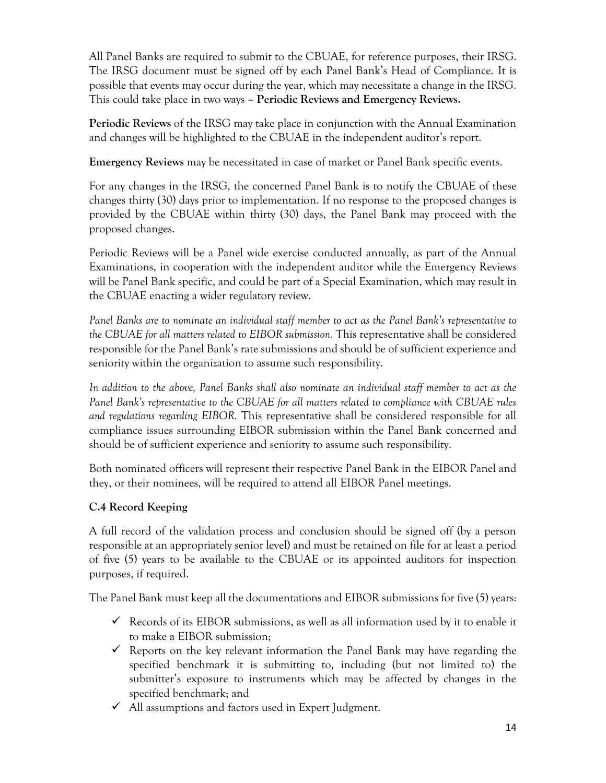All Panel Banks are required to submit to the CBUAE, for reference purposes, their IRSG. The IRSG document must be signed off by each Panel Bank's Head of Compliance. It is possible that events may occur during the year, which may necessitate a change in the IRSG. This could take place in two ways **– Periodic Reviews and Emergency Reviews.**

**Periodic Reviews** of the IRSG may take place in conjunction with the Annual Examination and changes will be highlighted to the CBUAE in the independent auditor's report.

**Emergency Reviews** may be necessitated in case of market or Panel Bank specific events.

For any changes in the IRSG, the concerned Panel Bank is to notify the CBUAE of these changes thirty (30) days prior to implementation. If no response to the proposed changes is provided by the CBUAE within thirty (30) days, the Panel Bank may proceed with the proposed changes.

Periodic Reviews will be a Panel wide exercise conducted annually, as part of the Annual Examinations, in cooperation with the independent auditor while the Emergency Reviews will be Panel Bank specific, and could be part of a Special Examination, which may result in the CBUAE enacting a wider regulatory review.

*Panel Banks are to nominate an individual staff member to act as the Panel Bank's representative to the CBUAE for all matters related to EIBOR submission.* This representative shall be considered responsible for the Panel Bank's rate submissions and should be of sufficient experience and seniority within the organization to assume such responsibility.

*In addition to the above, Panel Banks shall also nominate an individual staff member to act as the Panel Bank's representative to the CBUAE for all matters related to compliance with CBUAE rules and regulations regarding EIBOR.* This representative shall be considered responsible for all compliance issues surrounding EIBOR submission within the Panel Bank concerned and should be of sufficient experience and seniority to assume such responsibility.

Both nominated officers will represent their respective Panel Bank in the EIBOR Panel and they, or their nominees, will be required to attend all EIBOR Panel meetings.

## **C.4 Record Keeping**

A full record of the validation process and conclusion should be signed off (by a person responsible at an appropriately senior level) and must be retained on file for at least a period of five (5) years to be available to the CBUAE or its appointed auditors for inspection purposes, if required.

The Panel Bank must keep all the documentations and EIBOR submissions for five (5) years:

- $\checkmark$  Records of its EIBOR submissions, as well as all information used by it to enable it to make a EIBOR submission;
- $\checkmark$  Reports on the key relevant information the Panel Bank may have regarding the specified benchmark it is submitting to, including (but not limited to) the submitter's exposure to instruments which may be affected by changes in the specified benchmark; and
- $\checkmark$  All assumptions and factors used in Expert Judgment.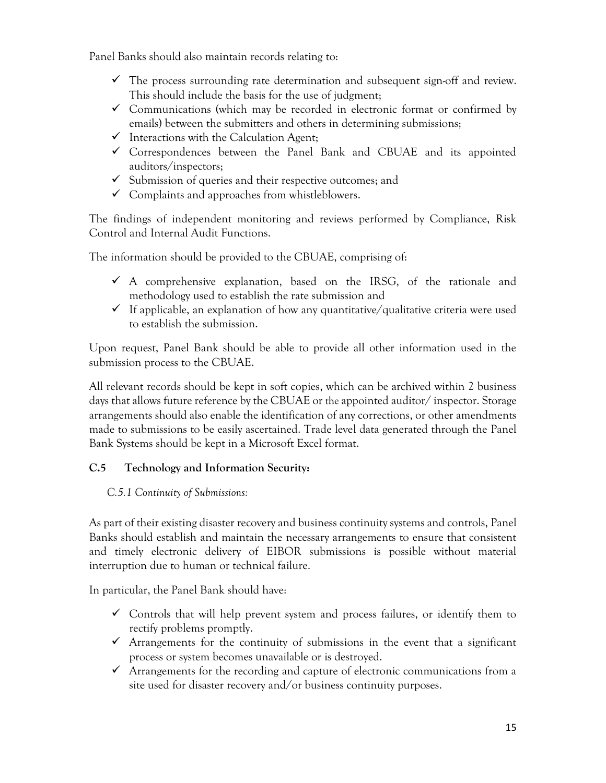Panel Banks should also maintain records relating to:

- $\checkmark$  The process surrounding rate determination and subsequent sign-off and review. This should include the basis for the use of judgment;
- $\checkmark$  Communications (which may be recorded in electronic format or confirmed by emails) between the submitters and others in determining submissions;
- $\checkmark$  Interactions with the Calculation Agent;
- $\checkmark$  Correspondences between the Panel Bank and CBUAE and its appointed auditors/inspectors;
- $\checkmark$  Submission of queries and their respective outcomes; and
- $\checkmark$  Complaints and approaches from whistleblowers.

The findings of independent monitoring and reviews performed by Compliance, Risk Control and Internal Audit Functions.

The information should be provided to the CBUAE, comprising of:

- $\checkmark$  A comprehensive explanation, based on the IRSG, of the rationale and methodology used to establish the rate submission and
- $\checkmark$  If applicable, an explanation of how any quantitative/qualitative criteria were used to establish the submission.

Upon request, Panel Bank should be able to provide all other information used in the submission process to the CBUAE.

All relevant records should be kept in soft copies, which can be archived within 2 business days that allows future reference by the CBUAE or the appointed auditor/ inspector. Storage arrangements should also enable the identification of any corrections, or other amendments made to submissions to be easily ascertained. Trade level data generated through the Panel Bank Systems should be kept in a Microsoft Excel format.

## **C.5 Technology and Information Security:**

### *C.5.1 Continuity of Submissions:*

As part of their existing disaster recovery and business continuity systems and controls, Panel Banks should establish and maintain the necessary arrangements to ensure that consistent and timely electronic delivery of EIBOR submissions is possible without material interruption due to human or technical failure.

In particular, the Panel Bank should have:

- $\checkmark$  Controls that will help prevent system and process failures, or identify them to rectify problems promptly.
- $\checkmark$  Arrangements for the continuity of submissions in the event that a significant process or system becomes unavailable or is destroyed.
- $\checkmark$  Arrangements for the recording and capture of electronic communications from a site used for disaster recovery and/or business continuity purposes.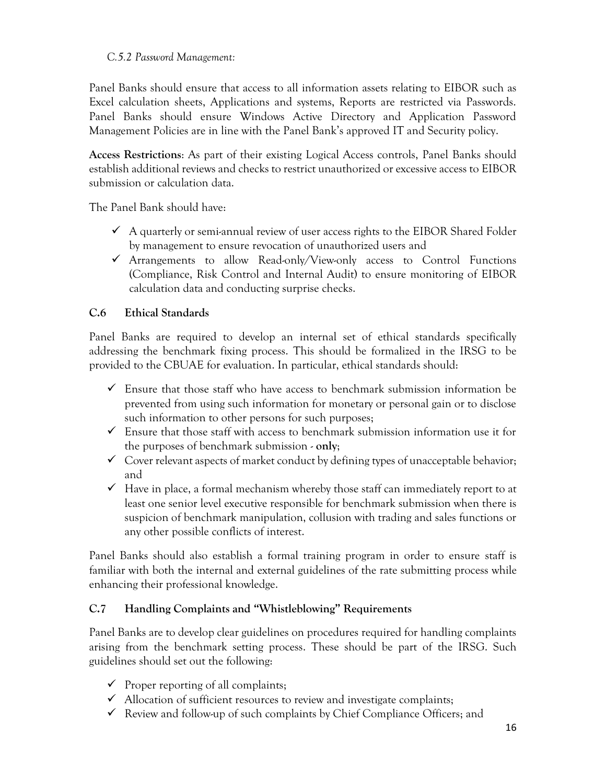### *C.5.2 Password Management:*

Panel Banks should ensure that access to all information assets relating to EIBOR such as Excel calculation sheets, Applications and systems, Reports are restricted via Passwords. Panel Banks should ensure Windows Active Directory and Application Password Management Policies are in line with the Panel Bank's approved IT and Security policy.

**Access Restrictions**: As part of their existing Logical Access controls, Panel Banks should establish additional reviews and checks to restrict unauthorized or excessive access to EIBOR submission or calculation data.

The Panel Bank should have:

- $\checkmark$  A quarterly or semi-annual review of user access rights to the EIBOR Shared Folder by management to ensure revocation of unauthorized users and
- $\checkmark$  Arrangements to allow Read-only/View-only access to Control Functions (Compliance, Risk Control and Internal Audit) to ensure monitoring of EIBOR calculation data and conducting surprise checks.

### **C.6 Ethical Standards**

Panel Banks are required to develop an internal set of ethical standards specifically addressing the benchmark fixing process. This should be formalized in the IRSG to be provided to the CBUAE for evaluation. In particular, ethical standards should:

- $\checkmark$  Ensure that those staff who have access to benchmark submission information be prevented from using such information for monetary or personal gain or to disclose such information to other persons for such purposes;
- $\checkmark$  Ensure that those staff with access to benchmark submission information use it for the purposes of benchmark submission - **only**;
- $\checkmark$  Cover relevant aspects of market conduct by defining types of unacceptable behavior; and
- $\checkmark$  Have in place, a formal mechanism whereby those staff can immediately report to at least one senior level executive responsible for benchmark submission when there is suspicion of benchmark manipulation, collusion with trading and sales functions or any other possible conflicts of interest.

Panel Banks should also establish a formal training program in order to ensure staff is familiar with both the internal and external guidelines of the rate submitting process while enhancing their professional knowledge.

## **C.7 Handling Complaints and "Whistleblowing" Requirements**

Panel Banks are to develop clear guidelines on procedures required for handling complaints arising from the benchmark setting process. These should be part of the IRSG. Such guidelines should set out the following:

- $\checkmark$  Proper reporting of all complaints;
- $\checkmark$  Allocation of sufficient resources to review and investigate complaints;
- $\checkmark$  Review and follow-up of such complaints by Chief Compliance Officers; and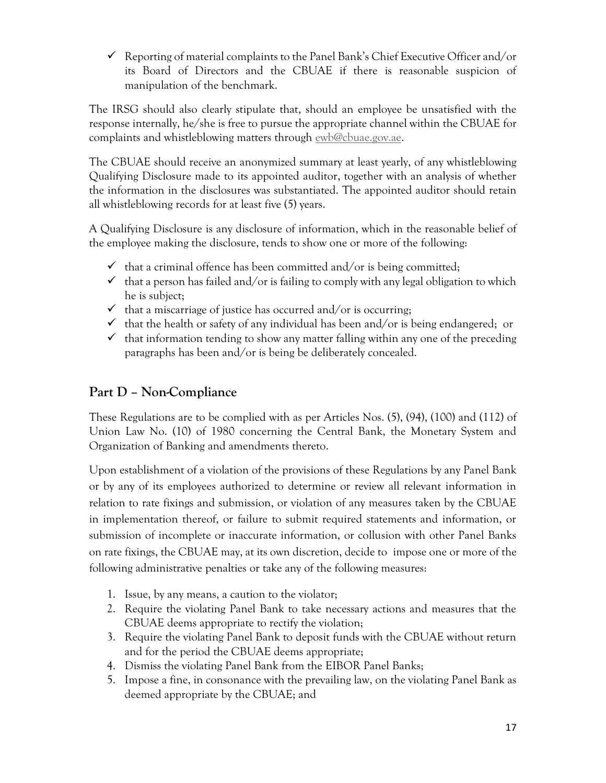$\checkmark$  Reporting of material complaints to the Panel Bank's Chief Executive Officer and/or its Board of Directors and the CBUAE if there is reasonable suspicion of manipulation of the benchmark.

The IRSG should also clearly stipulate that, should an employee be unsatisfied with the response internally, he/she is free to pursue the appropriate channel within the CBUAE for complaints and whistleblowing matters through [ewb@cbuae.gov.ae.](mailto:ewb@cbuae.gov.ae)

The CBUAE should receive an anonymized summary at least yearly, of any whistleblowing Qualifying Disclosure made to its appointed auditor, together with an analysis of whether the information in the disclosures was substantiated. The appointed auditor should retain all whistleblowing records for at least five (5) years.

A Qualifying Disclosure is any disclosure of information, which in the reasonable belief of the employee making the disclosure, tends to show one or more of the following:

- $\checkmark$  that a criminal offence has been committed and/or is being committed;
- $\checkmark$  that a person has failed and/or is failing to comply with any legal obligation to which he is subject;
- $\checkmark$  that a miscarriage of justice has occurred and/or is occurring;
- $\checkmark$  that the health or safety of any individual has been and/or is being endangered; or
- $\checkmark$  that information tending to show any matter falling within any one of the preceding paragraphs has been and/or is being be deliberately concealed.

## **Part D – Non-Compliance**

These Regulations are to be complied with as per Articles Nos. (5), (94), (100) and (112) of Union Law No. (10) of 1980 concerning the Central Bank, the Monetary System and Organization of Banking and amendments thereto.

Upon establishment of a violation of the provisions of these Regulations by any Panel Bank or by any of its employees authorized to determine or review all relevant information in relation to rate fixings and submission, or violation of any measures taken by the CBUAE in implementation thereof, or failure to submit required statements and information, or submission of incomplete or inaccurate information, or collusion with other Panel Banks on rate fixings, the CBUAE may, at its own discretion, decide to impose one or more of the following administrative penalties or take any of the following measures:

- 1. Issue, by any means, a caution to the violator;
- 2. Require the violating Panel Bank to take necessary actions and measures that the CBUAE deems appropriate to rectify the violation;
- 3. Require the violating Panel Bank to deposit funds with the CBUAE without return and for the period the CBUAE deems appropriate;
- 4. Dismiss the violating Panel Bank from the EIBOR Panel Banks;
- 5. Impose a fine, in consonance with the prevailing law, on the violating Panel Bank as deemed appropriate by the CBUAE; and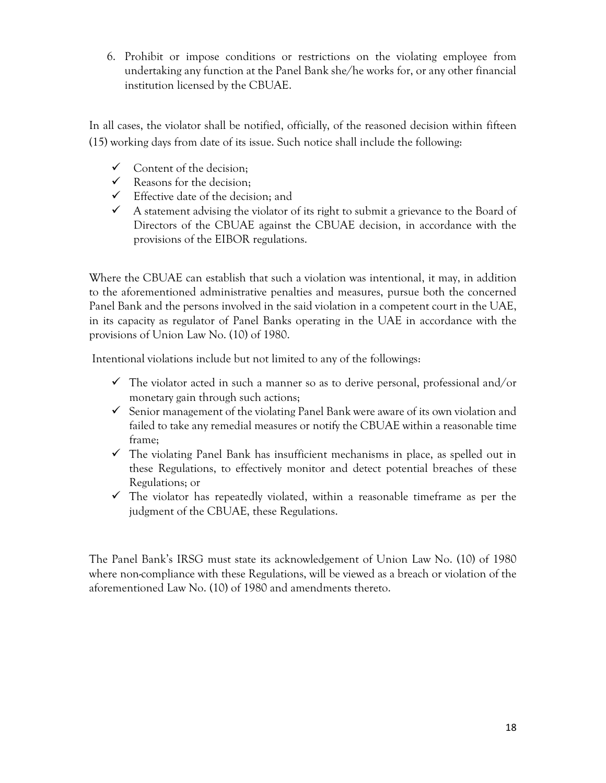6. Prohibit or impose conditions or restrictions on the violating employee from undertaking any function at the Panel Bank she/he works for, or any other financial institution licensed by the CBUAE.

In all cases, the violator shall be notified, officially, of the reasoned decision within fifteen (15) working days from date of its issue. Such notice shall include the following:

- $\checkmark$  Content of the decision;
- $\checkmark$  Reasons for the decision:
- $\checkmark$  Effective date of the decision; and
- $\checkmark$  A statement advising the violator of its right to submit a grievance to the Board of Directors of the CBUAE against the CBUAE decision, in accordance with the provisions of the EIBOR regulations.

Where the CBUAE can establish that such a violation was intentional, it may, in addition to the aforementioned administrative penalties and measures, pursue both the concerned Panel Bank and the persons involved in the said violation in a competent court in the UAE, in its capacity as regulator of Panel Banks operating in the UAE in accordance with the provisions of Union Law No. (10) of 1980.

Intentional violations include but not limited to any of the followings:

- $\checkmark$  The violator acted in such a manner so as to derive personal, professional and/or monetary gain through such actions;
- $\checkmark$  Senior management of the violating Panel Bank were aware of its own violation and failed to take any remedial measures or notify the CBUAE within a reasonable time frame;
- $\checkmark$  The violating Panel Bank has insufficient mechanisms in place, as spelled out in these Regulations, to effectively monitor and detect potential breaches of these Regulations; or
- $\checkmark$  The violator has repeatedly violated, within a reasonable timeframe as per the judgment of the CBUAE, these Regulations.

The Panel Bank's IRSG must state its acknowledgement of Union Law No. (10) of 1980 where non-compliance with these Regulations, will be viewed as a breach or violation of the aforementioned Law No. (10) of 1980 and amendments thereto.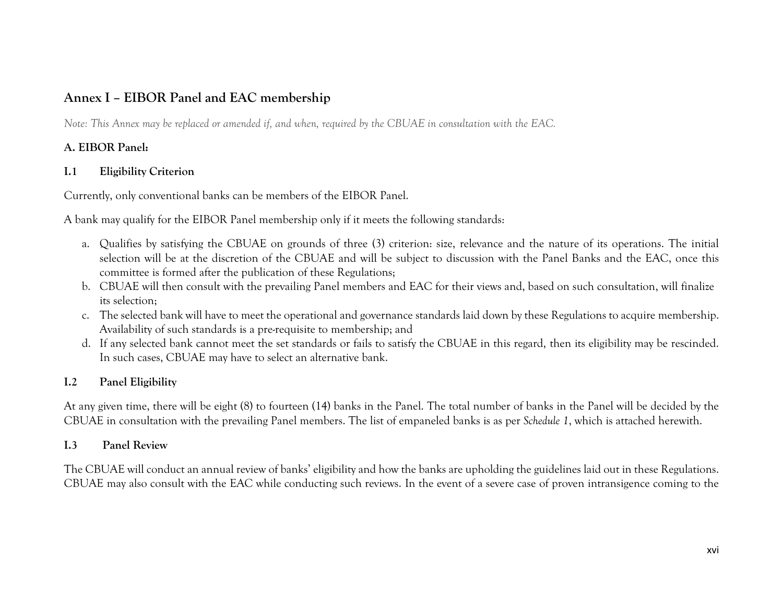## **Annex I – EIBOR Panel and EAC membership**

*Note: This Annex may be replaced or amended if, and when, required by the CBUAE in consultation with the EAC.*

## **A. EIBOR Panel:**

### **I.1 Eligibility Criterion**

Currently, only conventional banks can be members of the EIBOR Panel.

A bank may qualify for the EIBOR Panel membership only if it meets the following standards:

- a. Qualifies by satisfying the CBUAE on grounds of three (3) criterion: size, relevance and the nature of its operations. The initial selection will be at the discretion of the CBUAE and will be subject to discussion with the Panel Banks and the EAC, once this committee is formed after the publication of these Regulations;
- b. CBUAE will then consult with the prevailing Panel members and EAC for their views and, based on such consultation, will finalize its selection;
- c. The selected bank will have to meet the operational and governance standards laid down by these Regulations to acquire membership. Availability of such standards is a pre-requisite to membership; and
- d. If any selected bank cannot meet the set standards or fails to satisfy the CBUAE in this regard, then its eligibility may be rescinded. In such cases, CBUAE may have to select an alternative bank.

## **I.2 Panel Eligibility**

At any given time, there will be eight (8) to fourteen (14) banks in the Panel. The total number of banks in the Panel will be decided by the CBUAE in consultation with the prevailing Panel members. The list of empaneled banks is as per *Schedule 1*, which is attached herewith.

### **I.3 Panel Review**

The CBUAE will conduct an annual review of banks' eligibility and how the banks are upholding the guidelines laid out in these Regulations. CBUAE may also consult with the EAC while conducting such reviews. In the event of a severe case of proven intransigence coming to the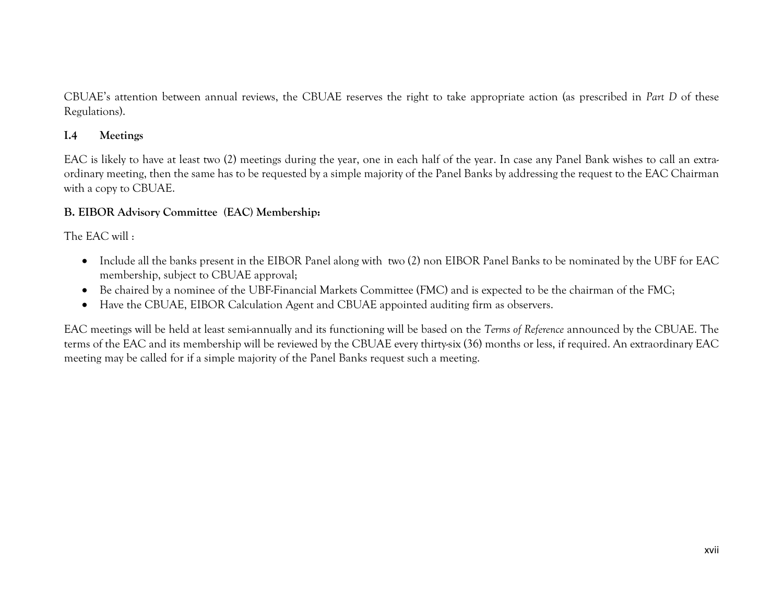CBUAE's attention between annual reviews, the CBUAE reserves the right to take appropriate action (as prescribed in *Part D* of these Regulations).

### **I.4 Meetings**

EAC is likely to have at least two (2) meetings during the year, one in each half of the year. In case any Panel Bank wishes to call an extraordinary meeting, then the same has to be requested by a simple majority of the Panel Banks by addressing the request to the EAC Chairman with a copy to CBUAE.

### **B. EIBOR Advisory Committee (EAC) Membership:**

The EAC will :

- Include all the banks present in the EIBOR Panel along with two (2) non EIBOR Panel Banks to be nominated by the UBF for EAC membership, subject to CBUAE approval;
- Be chaired by a nominee of the UBF-Financial Markets Committee (FMC) and is expected to be the chairman of the FMC;
- Have the CBUAE, EIBOR Calculation Agent and CBUAE appointed auditing firm as observers.

EAC meetings will be held at least semi-annually and its functioning will be based on the *Terms of Reference* announced by the CBUAE. The terms of the EAC and its membership will be reviewed by the CBUAE every thirty-six (36) months or less, if required. An extraordinary EAC meeting may be called for if a simple majority of the Panel Banks request such a meeting.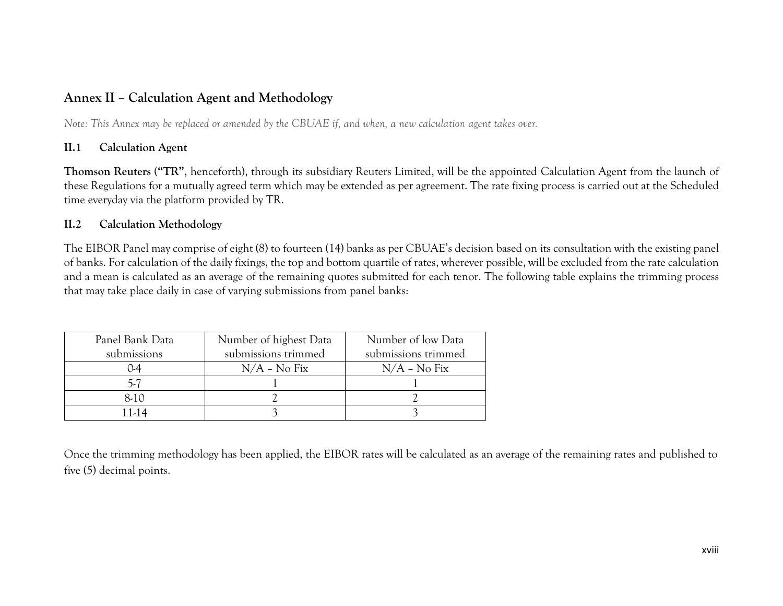## **Annex II – Calculation Agent and Methodology**

*Note: This Annex may be replaced or amended by the CBUAE if, and when, a new calculation agent takes over.*

### **II.1 Calculation Agent**

**Thomson Reuters** (**"TR"**, henceforth), through its subsidiary Reuters Limited, will be the appointed Calculation Agent from the launch of these Regulations for a mutually agreed term which may be extended as per agreement. The rate fixing process is carried out at the Scheduled time everyday via the platform provided by TR.

### **II.2 Calculation Methodology**

The EIBOR Panel may comprise of eight (8) to fourteen (14) banks as per CBUAE's decision based on its consultation with the existing panel of banks. For calculation of the daily fixings, the top and bottom quartile of rates, wherever possible, will be excluded from the rate calculation and a mean is calculated as an average of the remaining quotes submitted for each tenor. The following table explains the trimming process that may take place daily in case of varying submissions from panel banks:

| Panel Bank Data | Number of highest Data | Number of low Data  |
|-----------------|------------------------|---------------------|
| submissions     | submissions trimmed    | submissions trimmed |
| $\mathsf{L}4$   | $N/A$ – $No Fix$       | $N/A$ – $No Fix$    |
|                 |                        |                     |
| 8-10            |                        |                     |
| 11-14           |                        |                     |

Once the trimming methodology has been applied, the EIBOR rates will be calculated as an average of the remaining rates and published to five (5) decimal points.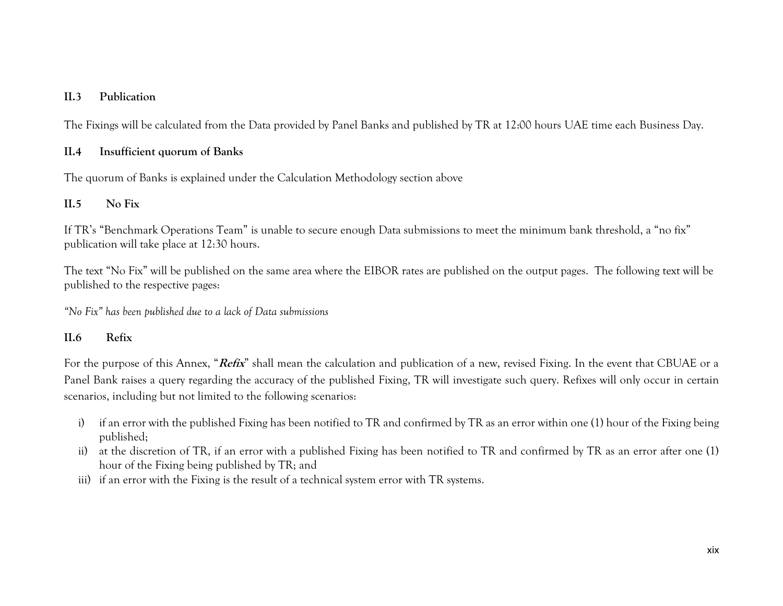### **II.3 Publication**

The Fixings will be calculated from the Data provided by Panel Banks and published by TR at 12:00 hours UAE time each Business Day.

### **II.4 Insufficient quorum of Banks**

The quorum of Banks is explained under the Calculation Methodology section above

### **II.5 No Fix**

If TR's "Benchmark Operations Team" is unable to secure enough Data submissions to meet the minimum bank threshold, a "no fix" publication will take place at 12:30 hours.

The text "No Fix" will be published on the same area where the EIBOR rates are published on the output pages. The following text will be published to the respective pages:

*"No Fix" has been published due to a lack of Data submissions*

### **II.6 Refix**

For the purpose of this Annex, "**Refix**" shall mean the calculation and publication of a new, revised Fixing. In the event that CBUAE or a Panel Bank raises a query regarding the accuracy of the published Fixing, TR will investigate such query. Refixes will only occur in certain scenarios, including but not limited to the following scenarios:

- i) if an error with the published Fixing has been notified to TR and confirmed by TR as an error within one (1) hour of the Fixing being published;
- ii) at the discretion of TR, if an error with a published Fixing has been notified to TR and confirmed by TR as an error after one (1) hour of the Fixing being published by TR; and
- iii) if an error with the Fixing is the result of a technical system error with TR systems.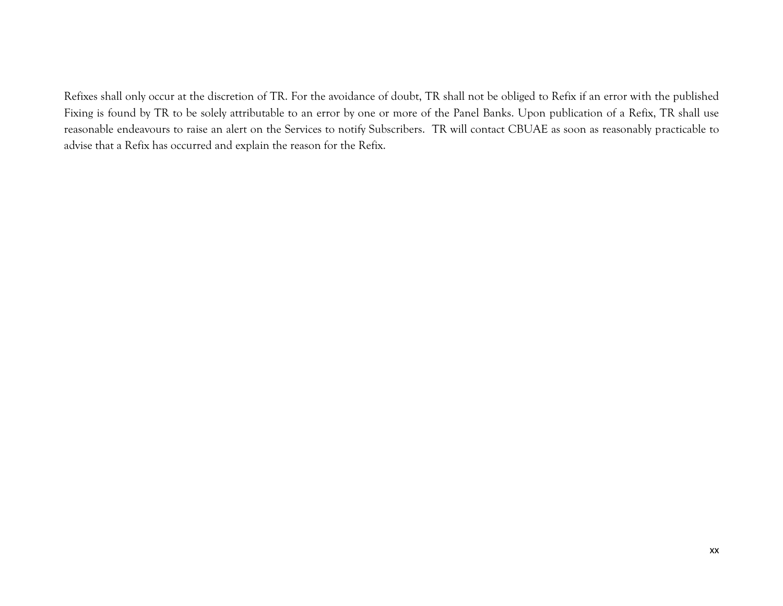Refixes shall only occur at the discretion of TR. For the avoidance of doubt, TR shall not be obliged to Refix if an error with the published Fixing is found by TR to be solely attributable to an error by one or more of the Panel Banks. Upon publication of a Refix, TR shall use reasonable endeavours to raise an alert on the Services to notify Subscribers. TR will contact CBUAE as soon as reasonably practicable to advise that a Refix has occurred and explain the reason for the Refix.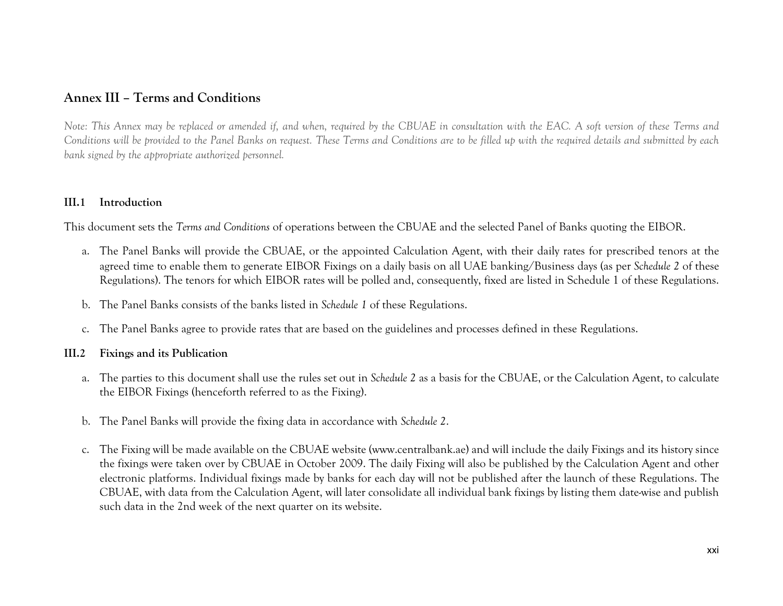## **Annex III – Terms and Conditions**

*Note: This Annex may be replaced or amended if, and when, required by the CBUAE in consultation with the EAC. A soft version of these Terms and Conditions will be provided to the Panel Banks on request. These Terms and Conditions are to be filled up with the required details and submitted by each bank signed by the appropriate authorized personnel.*

### **III.1 Introduction**

This document sets the *Terms and Conditions* of operations between the CBUAE and the selected Panel of Banks quoting the EIBOR.

- a. The Panel Banks will provide the CBUAE, or the appointed Calculation Agent, with their daily rates for prescribed tenors at the agreed time to enable them to generate EIBOR Fixings on a daily basis on all UAE banking/Business days (as per *Schedule 2* of these Regulations). The tenors for which EIBOR rates will be polled and, consequently, fixed are listed in Schedule 1 of these Regulations.
- b. The Panel Banks consists of the banks listed in *Schedule 1* of these Regulations.
- c. The Panel Banks agree to provide rates that are based on the guidelines and processes defined in these Regulations.

### **III.2 Fixings and its Publication**

- a. The parties to this document shall use the rules set out in *Schedule 2* as a basis for the CBUAE, or the Calculation Agent, to calculate the EIBOR Fixings (henceforth referred to as the Fixing).
- b. The Panel Banks will provide the fixing data in accordance with *Schedule 2*.
- c. The Fixing will be made available on the CBUAE website (www.centralbank.ae) and will include the daily Fixings and its history since the fixings were taken over by CBUAE in October 2009. The daily Fixing will also be published by the Calculation Agent and other electronic platforms. Individual fixings made by banks for each day will not be published after the launch of these Regulations. The CBUAE, with data from the Calculation Agent, will later consolidate all individual bank fixings by listing them date-wise and publish such data in the 2nd week of the next quarter on its website.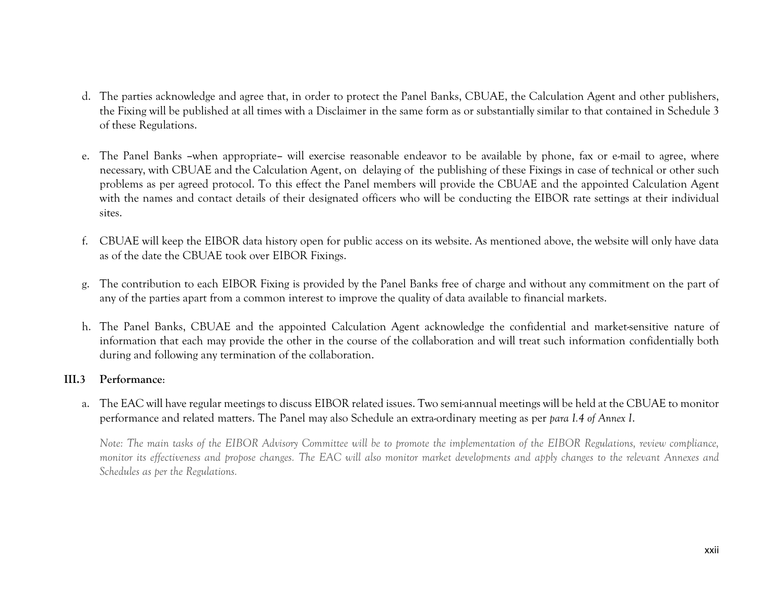- d. The parties acknowledge and agree that, in order to protect the Panel Banks, CBUAE, the Calculation Agent and other publishers, the Fixing will be published at all times with a Disclaimer in the same form as or substantially similar to that contained in Schedule 3 of these Regulations.
- e. The Panel Banks **–**when appropriate**–** will exercise reasonable endeavor to be available by phone, fax or e-mail to agree, where necessary, with CBUAE and the Calculation Agent, on delaying of the publishing of these Fixings in case of technical or other such problems as per agreed protocol. To this effect the Panel members will provide the CBUAE and the appointed Calculation Agent with the names and contact details of their designated officers who will be conducting the EIBOR rate settings at their individual sites.
- f. CBUAE will keep the EIBOR data history open for public access on its website. As mentioned above, the website will only have data as of the date the CBUAE took over EIBOR Fixings.
- g. The contribution to each EIBOR Fixing is provided by the Panel Banks free of charge and without any commitment on the part of any of the parties apart from a common interest to improve the quality of data available to financial markets.
- h. The Panel Banks, CBUAE and the appointed Calculation Agent acknowledge the confidential and market-sensitive nature of information that each may provide the other in the course of the collaboration and will treat such information confidentially both during and following any termination of the collaboration.

### **III.3 Performance**:

a. The EAC will have regular meetings to discuss EIBOR related issues. Two semi-annual meetings will be held at the CBUAE to monitor performance and related matters. The Panel may also Schedule an extra-ordinary meeting as per *para I.4 of Annex I*.

*Note: The main tasks of the EIBOR Advisory Committee will be to promote the implementation of the EIBOR Regulations, review compliance, monitor its effectiveness and propose changes. The EAC will also monitor market developments and apply changes to the relevant Annexes and Schedules as per the Regulations.*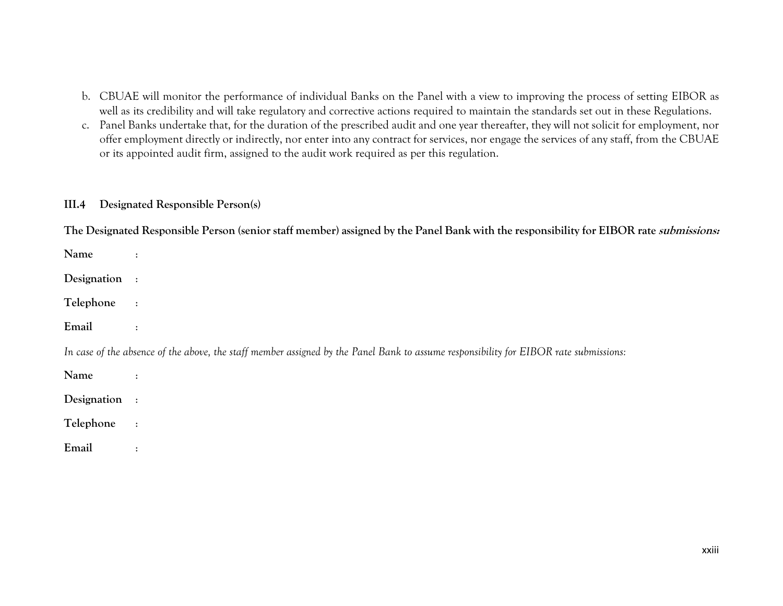- b. CBUAE will monitor the performance of individual Banks on the Panel with a view to improving the process of setting EIBOR as well as its credibility and will take regulatory and corrective actions required to maintain the standards set out in these Regulations.
- c. Panel Banks undertake that, for the duration of the prescribed audit and one year thereafter, they will not solicit for employment, nor offer employment directly or indirectly, nor enter into any contract for services, nor engage the services of any staff, from the CBUAE or its appointed audit firm, assigned to the audit work required as per this regulation.

### **III.4 Designated Responsible Person(s)**

**The Designated Responsible Person (senior staff member) assigned by the Panel Bank with the responsibility for EIBOR rate submissions:**

| Name        | $\ddot{\cdot}$                                                                                                                        |
|-------------|---------------------------------------------------------------------------------------------------------------------------------------|
| Designation | $\sim$ 1                                                                                                                              |
| Telephone   | $\sim$ 1                                                                                                                              |
| Email       | $\ddot{\cdot}$                                                                                                                        |
|             | In case of the absence of the above, the staff member assigned by the Panel Bank to assume responsibility for EIBOR rate submissions: |
| Name        | $\therefore$                                                                                                                          |
| Designation | $\sim$ :                                                                                                                              |
| Telephone   | $\mathbb{R}^2$                                                                                                                        |
|             |                                                                                                                                       |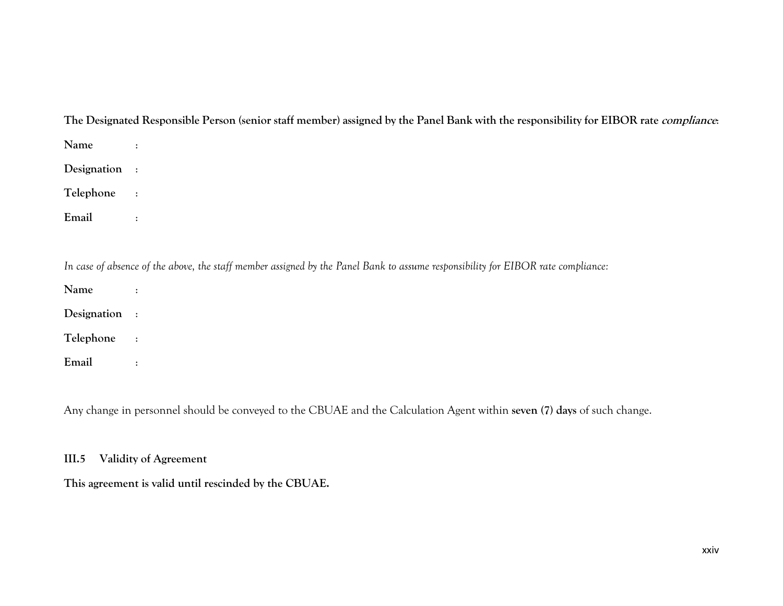## **The Designated Responsible Person (senior staff member) assigned by the Panel Bank with the responsibility for EIBOR rate compliance**:

| Name<br>$\sim 100$ |                                                                                                                                  |
|--------------------|----------------------------------------------------------------------------------------------------------------------------------|
| Designation :      |                                                                                                                                  |
| Telephone          | $\sim 1$                                                                                                                         |
| Email              | $\ddot{\mathcal{Z}}$                                                                                                             |
|                    |                                                                                                                                  |
|                    |                                                                                                                                  |
|                    | In case of absence of the above, the staff member assigned by the Panel Bank to assume responsibility for EIBOR rate compliance: |
| Name               | $\div$                                                                                                                           |
| Designation :      |                                                                                                                                  |
| Telephone          | $\sim 1$                                                                                                                         |

Any change in personnel should be conveyed to the CBUAE and the Calculation Agent within **seven (7) days** of such change.

### **III.5 Validity of Agreement**

**This agreement is valid until rescinded by the CBUAE.**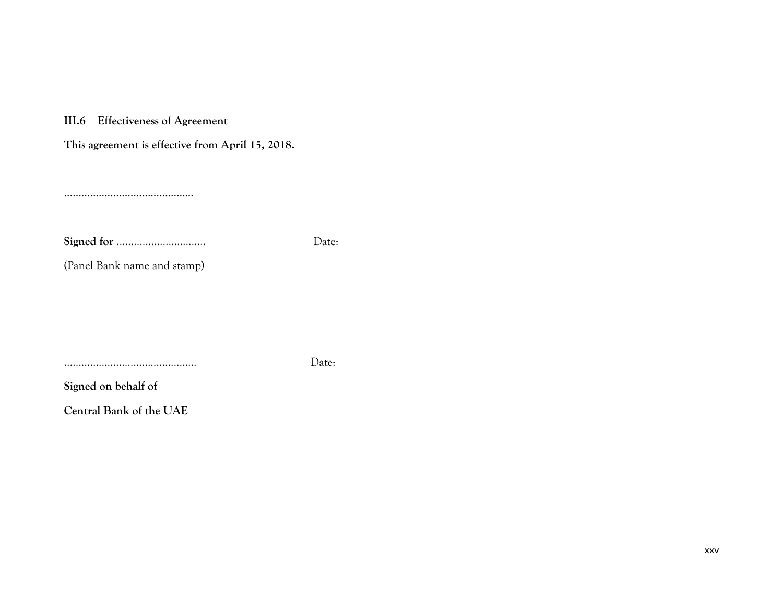**III.6 Effectiveness of Agreement**

**This agreement is effective from April 15, 2018.**

……………………………………...

**Signed for** …………………………. Date:

(Panel Bank name and stamp)

………………………………………. Date:

**Signed on behalf of** 

**Central Bank of the UAE**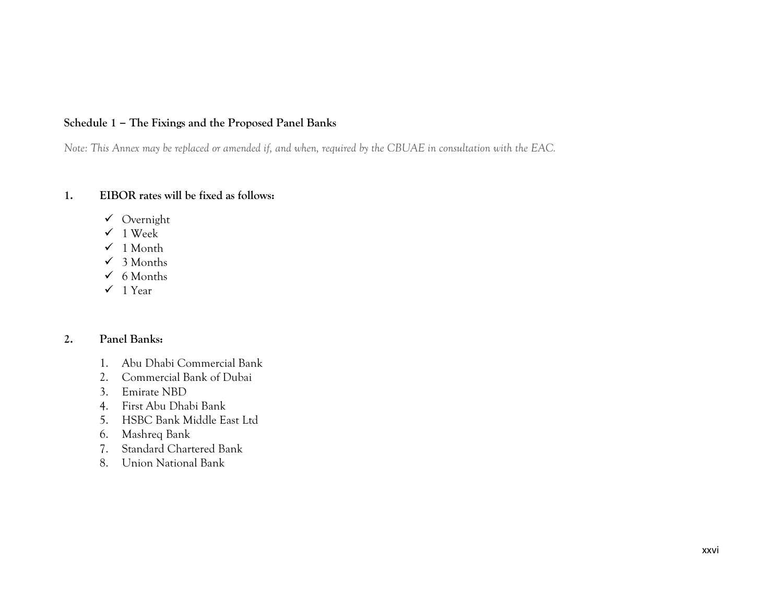### **Schedule 1 – The Fixings and the Proposed Panel Banks**

*Note: This Annex may be replaced or amended if, and when, required by the CBUAE in consultation with the EAC.*

### **1. EIBOR rates will be fixed as follows:**

- $\checkmark$  Overnight
- $\checkmark$  1 Week
- $\checkmark$  1 Month
- $\checkmark$  3 Months
- $6$  Months
- $\checkmark$  1 Year

### **2. Panel Banks:**

- 1. Abu Dhabi Commercial Bank
- 2. Commercial Bank of Dubai
- 3. Emirate NBD
- 4. First Abu Dhabi Bank
- 5. HSBC Bank Middle East Ltd
- 6. Mashreq Bank
- 7. Standard Chartered Bank
- 8. Union National Bank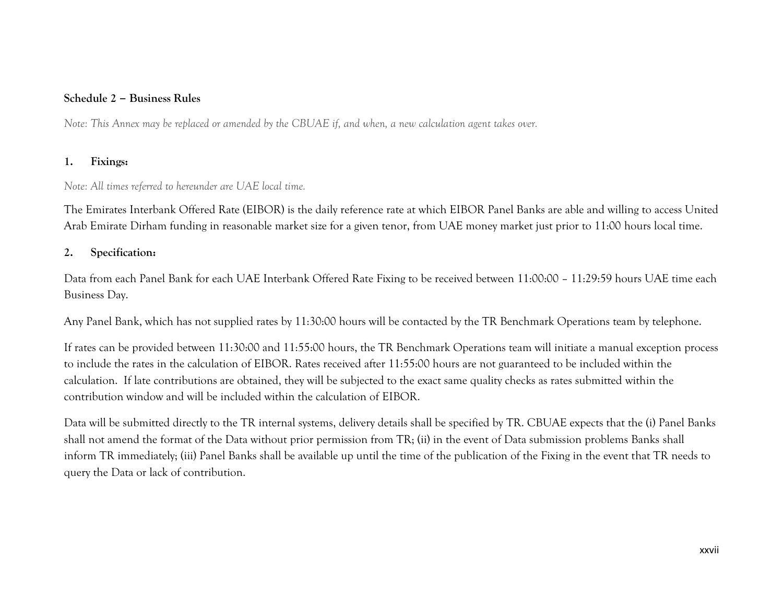### **Schedule 2 – Business Rules**

*Note: This Annex may be replaced or amended by the CBUAE if, and when, a new calculation agent takes over.*

### **1. Fixings:**

### *Note: All times referred to hereunder are UAE local time.*

The Emirates Interbank Offered Rate (EIBOR) is the daily reference rate at which EIBOR Panel Banks are able and willing to access United Arab Emirate Dirham funding in reasonable market size for a given tenor, from UAE money market just prior to 11:00 hours local time.

### **2. Specification:**

Data from each Panel Bank for each UAE Interbank Offered Rate Fixing to be received between 11:00:00 – 11:29:59 hours UAE time each Business Day.

Any Panel Bank, which has not supplied rates by 11:30:00 hours will be contacted by the TR Benchmark Operations team by telephone.

If rates can be provided between 11:30:00 and 11:55:00 hours, the TR Benchmark Operations team will initiate a manual exception process to include the rates in the calculation of EIBOR. Rates received after 11:55:00 hours are not guaranteed to be included within the calculation. If late contributions are obtained, they will be subjected to the exact same quality checks as rates submitted within the contribution window and will be included within the calculation of EIBOR.

Data will be submitted directly to the TR internal systems, delivery details shall be specified by TR. CBUAE expects that the (i) Panel Banks shall not amend the format of the Data without prior permission from TR; (ii) in the event of Data submission problems Banks shall inform TR immediately; (iii) Panel Banks shall be available up until the time of the publication of the Fixing in the event that TR needs to query the Data or lack of contribution.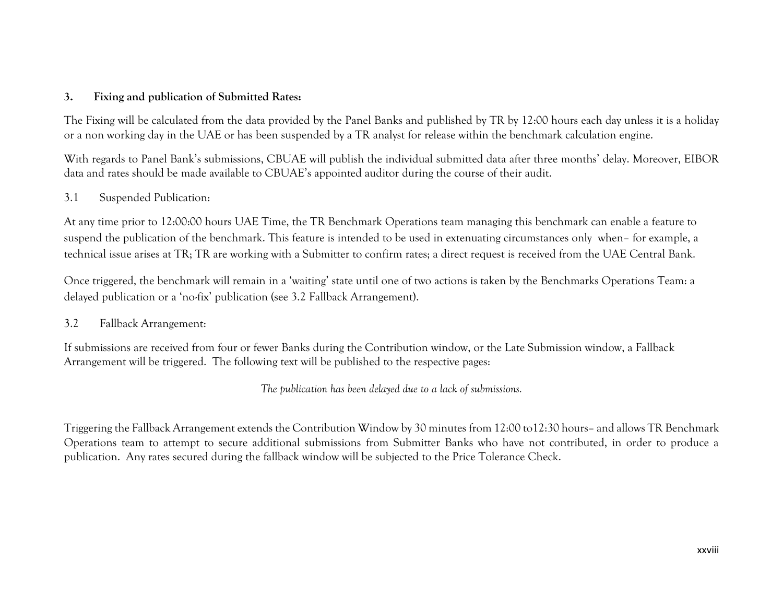### **3. Fixing and publication of Submitted Rates:**

The Fixing will be calculated from the data provided by the Panel Banks and published by TR by 12:00 hours each day unless it is a holiday or a non working day in the UAE or has been suspended by a TR analyst for release within the benchmark calculation engine.

With regards to Panel Bank's submissions, CBUAE will publish the individual submitted data after three months' delay. Moreover, EIBOR data and rates should be made available to CBUAE's appointed auditor during the course of their audit.

#### 3.1 Suspended Publication:

At any time prior to 12:00:00 hours UAE Time, the TR Benchmark Operations team managing this benchmark can enable a feature to suspend the publication of the benchmark. This feature is intended to be used in extenuating circumstances only when– for example, a technical issue arises at TR; TR are working with a Submitter to confirm rates; a direct request is received from the UAE Central Bank.

Once triggered, the benchmark will remain in a 'waiting' state until one of two actions is taken by the Benchmarks Operations Team: a delayed publication or a 'no-fix' publication (see 3.2 Fallback Arrangement).

#### 3.2 Fallback Arrangement:

If submissions are received from four or fewer Banks during the Contribution window, or the Late Submission window, a Fallback Arrangement will be triggered. The following text will be published to the respective pages:

*The publication has been delayed due to a lack of submissions.* 

Triggering the Fallback Arrangement extends the Contribution Window by 30 minutes from 12:00 to12:30 hours– and allows TR Benchmark Operations team to attempt to secure additional submissions from Submitter Banks who have not contributed, in order to produce a publication. Any rates secured during the fallback window will be subjected to the Price Tolerance Check.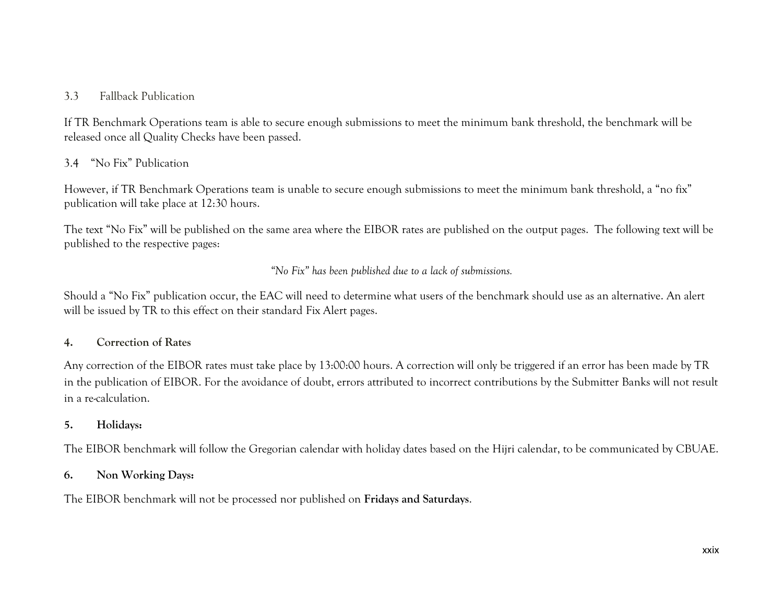### 3.3 Fallback Publication

If TR Benchmark Operations team is able to secure enough submissions to meet the minimum bank threshold, the benchmark will be released once all Quality Checks have been passed.

### 3.4 "No Fix" Publication

However, if TR Benchmark Operations team is unable to secure enough submissions to meet the minimum bank threshold, a "no fix" publication will take place at 12:30 hours.

The text "No Fix" will be published on the same area where the EIBOR rates are published on the output pages. The following text will be published to the respective pages:

*"No Fix" has been published due to a lack of submissions.*

Should a "No Fix" publication occur, the EAC will need to determine what users of the benchmark should use as an alternative. An alert will be issued by TR to this effect on their standard Fix Alert pages.

#### **4. Correction of Rates**

Any correction of the EIBOR rates must take place by 13:00:00 hours. A correction will only be triggered if an error has been made by TR in the publication of EIBOR. For the avoidance of doubt, errors attributed to incorrect contributions by the Submitter Banks will not result in a re-calculation.

### **5. Holidays:**

The EIBOR benchmark will follow the Gregorian calendar with holiday dates based on the Hijri calendar, to be communicated by CBUAE.

### **6. Non Working Days:**

The EIBOR benchmark will not be processed nor published on **Fridays and Saturdays**.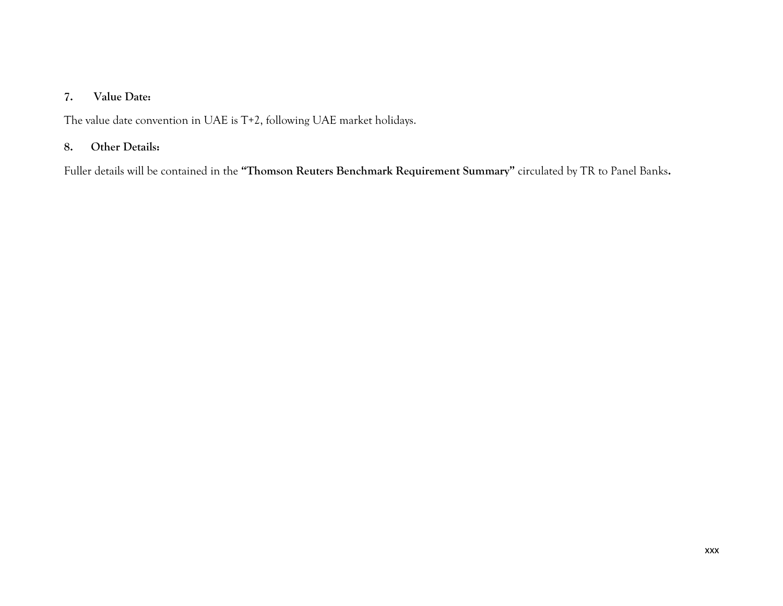### **7. Value Date:**

The value date convention in UAE is T+2, following UAE market holidays.

### **8. Other Details:**

Fuller details will be contained in the **"Thomson Reuters Benchmark Requirement Summary"** circulated by TR to Panel Banks**.**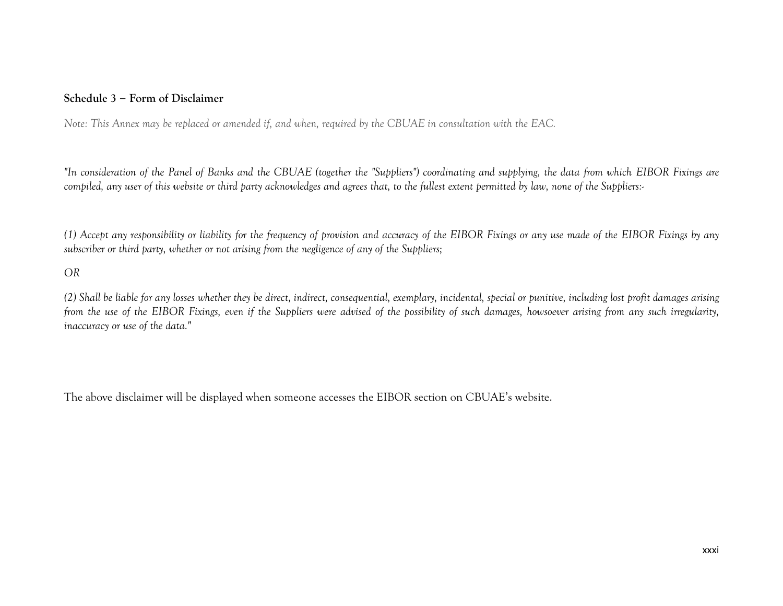### **Schedule 3 – Form of Disclaimer**

*Note: This Annex may be replaced or amended if, and when, required by the CBUAE in consultation with the EAC.*

*"In consideration of the Panel of Banks and the CBUAE (together the "Suppliers") coordinating and supplying, the data from which EIBOR Fixings are compiled, any user of this website or third party acknowledges and agrees that, to the fullest extent permitted by law, none of the Suppliers:-*

*(1) Accept any responsibility or liability for the frequency of provision and accuracy of the EIBOR Fixings or any use made of the EIBOR Fixings by any subscriber or third party, whether or not arising from the negligence of any of the Suppliers;*

#### *OR*

*(2) Shall be liable for any losses whether they be direct, indirect, consequential, exemplary, incidental, special or punitive, including lost profit damages arising from the use of the EIBOR Fixings, even if the Suppliers were advised of the possibility of such damages, howsoever arising from any such irregularity, inaccuracy or use of the data."*

The above disclaimer will be displayed when someone accesses the EIBOR section on CBUAE's website.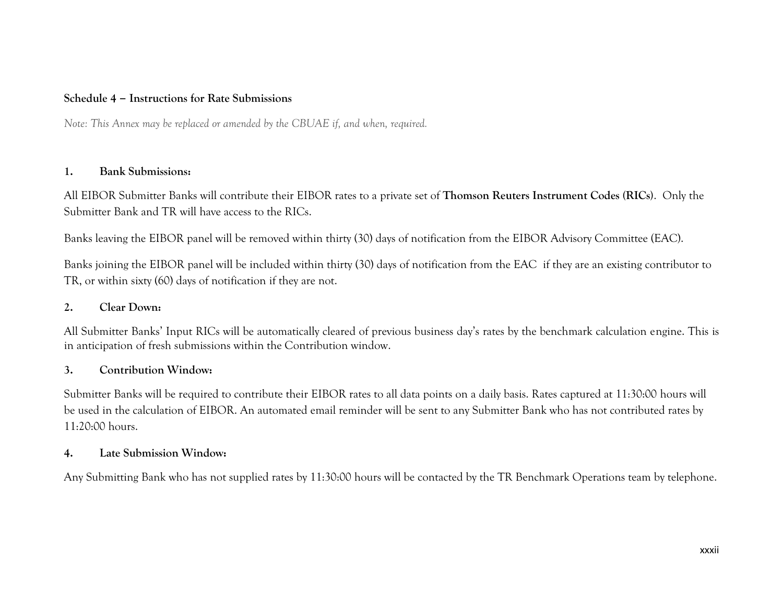### **Schedule 4 – Instructions for Rate Submissions**

*Note: This Annex may be replaced or amended by the CBUAE if, and when, required.*

#### **1. Bank Submissions:**

All EIBOR Submitter Banks will contribute their EIBOR rates to a private set of **Thomson Reuters Instrument Codes (RICs)**. Only the Submitter Bank and TR will have access to the RICs.

Banks leaving the EIBOR panel will be removed within thirty (30) days of notification from the EIBOR Advisory Committee (EAC).

Banks joining the EIBOR panel will be included within thirty (30) days of notification from the EAC if they are an existing contributor to TR, or within sixty (60) days of notification if they are not.

#### **2. Clear Down:**

All Submitter Banks' Input RICs will be automatically cleared of previous business day's rates by the benchmark calculation engine. This is in anticipation of fresh submissions within the Contribution window.

#### **3. Contribution Window:**

Submitter Banks will be required to contribute their EIBOR rates to all data points on a daily basis. Rates captured at 11:30:00 hours will be used in the calculation of EIBOR. An automated email reminder will be sent to any Submitter Bank who has not contributed rates by 11:20:00 hours.

### **4. Late Submission Window:**

Any Submitting Bank who has not supplied rates by 11:30:00 hours will be contacted by the TR Benchmark Operations team by telephone.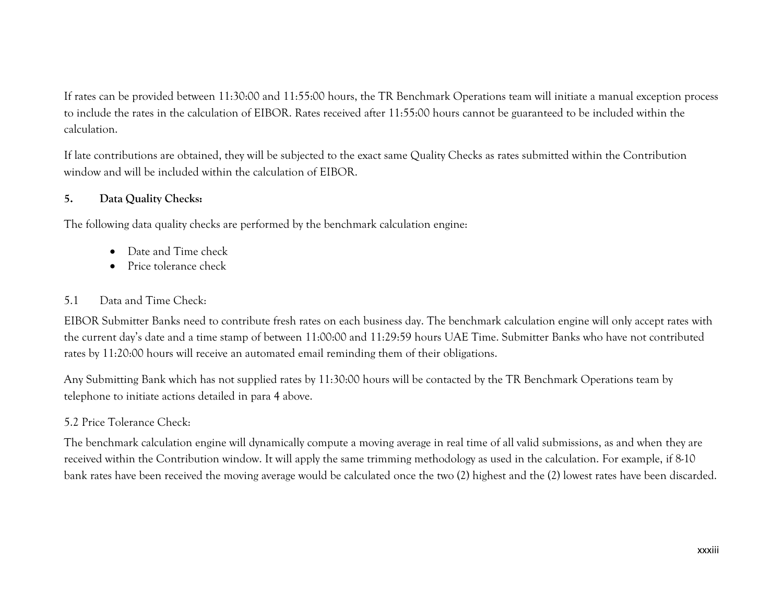If rates can be provided between 11:30:00 and 11:55:00 hours, the TR Benchmark Operations team will initiate a manual exception process to include the rates in the calculation of EIBOR. Rates received after 11:55:00 hours cannot be guaranteed to be included within the calculation.

If late contributions are obtained, they will be subjected to the exact same Quality Checks as rates submitted within the Contribution window and will be included within the calculation of EIBOR.

### **5. Data Quality Checks:**

The following data quality checks are performed by the benchmark calculation engine:

- Date and Time check
- Price tolerance check

### 5.1 Data and Time Check:

EIBOR Submitter Banks need to contribute fresh rates on each business day. The benchmark calculation engine will only accept rates with the current day's date and a time stamp of between 11:00:00 and 11:29:59 hours UAE Time. Submitter Banks who have not contributed rates by 11:20:00 hours will receive an automated email reminding them of their obligations.

Any Submitting Bank which has not supplied rates by 11:30:00 hours will be contacted by the TR Benchmark Operations team by telephone to initiate actions detailed in para 4 above.

### 5.2 Price Tolerance Check:

The benchmark calculation engine will dynamically compute a moving average in real time of all valid submissions, as and when they are received within the Contribution window. It will apply the same trimming methodology as used in the calculation. For example, if 8-10 bank rates have been received the moving average would be calculated once the two (2) highest and the (2) lowest rates have been discarded.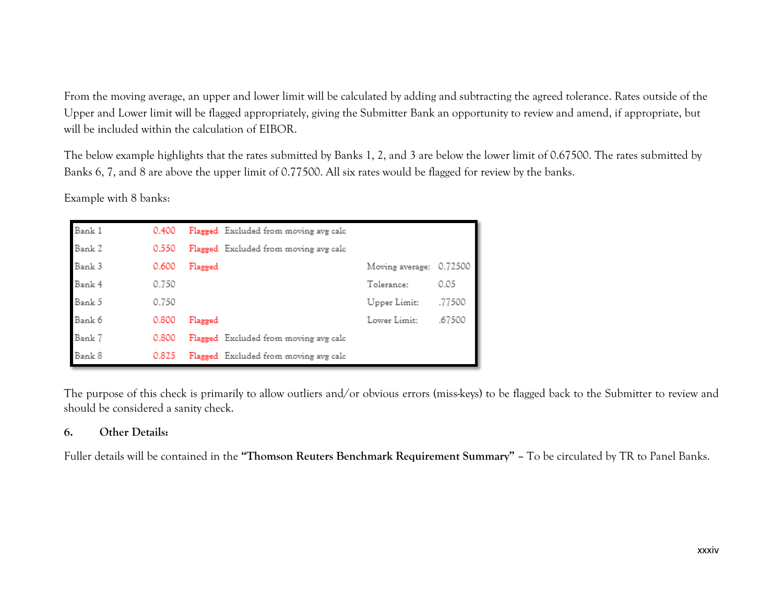From the moving average, an upper and lower limit will be calculated by adding and subtracting the agreed tolerance. Rates outside of the Upper and Lower limit will be flagged appropriately, giving the Submitter Bank an opportunity to review and amend, if appropriate, but will be included within the calculation of EIBOR.

The below example highlights that the rates submitted by Banks 1, 2, and 3 are below the lower limit of 0.67500. The rates submitted by Banks 6, 7, and 8 are above the upper limit of 0.77500. All six rates would be flagged for review by the banks.

Example with 8 banks:

| Bank 1 | 0.400 |         | Flagged Excluded from moving avg calc |                 |         |
|--------|-------|---------|---------------------------------------|-----------------|---------|
| Bank 2 | 0.550 |         | Flagged Excluded from moving avg calc |                 |         |
| Bank 3 | 0.600 | Flagged |                                       | Moving average: | 0.72500 |
| Bank 4 | 0.750 |         |                                       | Tolerance:      | 0.05    |
| Bank 5 | 0.750 |         |                                       | Upper Limit:    | .77500  |
| Bank 6 | 0.800 | Flagged |                                       | Lower Limit:    | .67500  |
| Bank 7 | 0.800 |         | Flagged Excluded from moving avg calc |                 |         |
| Bank 8 | 0.825 |         | Flagged Excluded from moving avg calc |                 |         |

The purpose of this check is primarily to allow outliers and/or obvious errors (miss-keys) to be flagged back to the Submitter to review and should be considered a sanity check.

### **6. Other Details:**

Fuller details will be contained in the **"Thomson Reuters Benchmark Requirement Summary" –** To be circulated by TR to Panel Banks.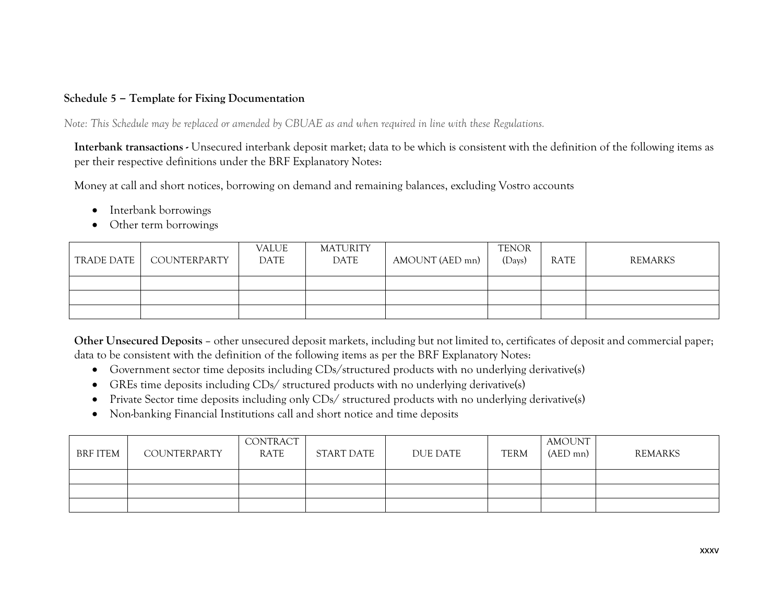### **Schedule 5 – Template for Fixing Documentation**

*Note: This Schedule may be replaced or amended by CBUAE as and when required in line with these Regulations.* 

**Interbank transactions -** Unsecured interbank deposit market; data to be which is consistent with the definition of the following items as per their respective definitions under the BRF Explanatory Notes:

Money at call and short notices, borrowing on demand and remaining balances, excluding Vostro accounts

- Interbank borrowings
- Other term borrowings

| TRADE DATE | COUNTERPARTY | VALUE<br>DATE | <b>MATURITY</b><br>DATE | AMOUNT (AED mn) | <b>TENOR</b><br>(Days) | RATE | REMARKS |
|------------|--------------|---------------|-------------------------|-----------------|------------------------|------|---------|
|            |              |               |                         |                 |                        |      |         |
|            |              |               |                         |                 |                        |      |         |
|            |              |               |                         |                 |                        |      |         |

**Other Unsecured Deposits** – other unsecured deposit markets, including but not limited to, certificates of deposit and commercial paper; data to be consistent with the definition of the following items as per the BRF Explanatory Notes:

- Government sector time deposits including CDs/structured products with no underlying derivative(s)
- GREs time deposits including CDs/ structured products with no underlying derivative(s)
- Private Sector time deposits including only CDs/ structured products with no underlying derivative(s)
- Non-banking Financial Institutions call and short notice and time deposits

| <b>BRF ITEM</b> | COUNTERPARTY | CONTRACT<br>RATE | START DATE | DUE DATE | <b>TERM</b> | <b>AMOUNT</b><br>$(AED$ mn $)$ | REMARKS |
|-----------------|--------------|------------------|------------|----------|-------------|--------------------------------|---------|
|                 |              |                  |            |          |             |                                |         |
|                 |              |                  |            |          |             |                                |         |
|                 |              |                  |            |          |             |                                |         |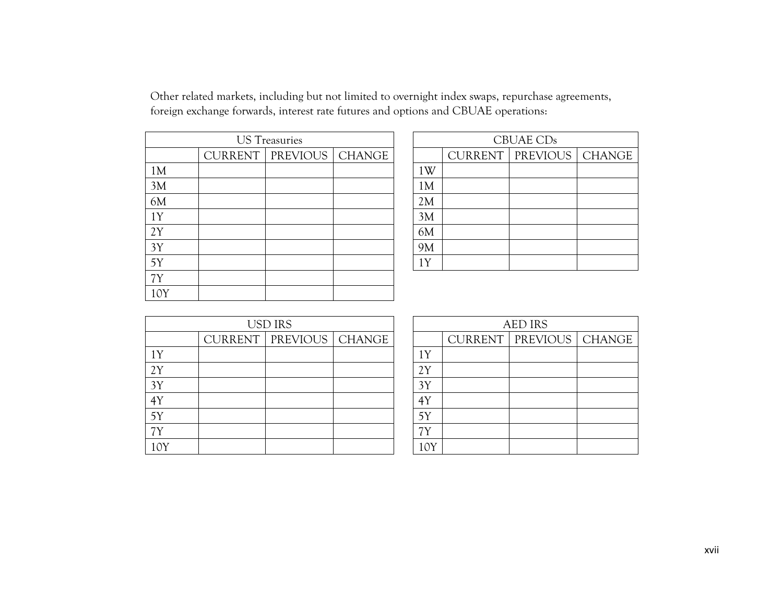Other related markets, including but not limited to overnight index swaps, repurchase agreements, foreign exchange forwards, interest rate futures and options and CBUAE operations:

|                | <b>US</b> Treasuries        |  |    |                  | CBUAE CDs |
|----------------|-----------------------------|--|----|------------------|-----------|
|                | CURRENT   PREVIOUS   CHANGE |  |    | CURRENT   PREVIO |           |
| 1 <sub>M</sub> |                             |  | 1W |                  |           |
| 3M             |                             |  | 1M |                  |           |
| 6M             |                             |  | 2M |                  |           |
| 1Y             |                             |  | 3M |                  |           |
| 2Y             |                             |  | 6M |                  |           |
| 3Y             |                             |  | 9M |                  |           |
| 5Y             |                             |  | 1Y |                  |           |
| 7Y             |                             |  |    |                  |           |
| 10Y            |                             |  |    |                  |           |

| <b>US</b> Treasuries |                             |  | CBUAE CDs |  |                             |  |  |
|----------------------|-----------------------------|--|-----------|--|-----------------------------|--|--|
|                      | CURRENT   PREVIOUS   CHANGE |  |           |  | CURRENT   PREVIOUS   CHANGE |  |  |
|                      |                             |  | 1W        |  |                             |  |  |
|                      |                             |  | 1M        |  |                             |  |  |
|                      |                             |  | 2M        |  |                             |  |  |
|                      |                             |  | 3M        |  |                             |  |  |
|                      |                             |  | 6M        |  |                             |  |  |
|                      |                             |  | 9M        |  |                             |  |  |
|                      |                             |  | 1Y        |  |                             |  |  |
|                      |                             |  |           |  |                             |  |  |

|     | <b>USD IRS</b> |                             |  | <b>AED IRS</b> |                        |  |
|-----|----------------|-----------------------------|--|----------------|------------------------|--|
|     |                | CURRENT   PREVIOUS   CHANGE |  |                | <b>CURRENT   PREVI</b> |  |
| 1Y  |                |                             |  | 1Y             |                        |  |
| 2Y  |                |                             |  | 2Y             |                        |  |
| 3Y  |                |                             |  | 3Y             |                        |  |
| 4Y  |                |                             |  | 4Y             |                        |  |
| 5Y  |                |                             |  | 5Y             |                        |  |
| 7Y  |                |                             |  | 7Υ             |                        |  |
| 10Y |                |                             |  |                |                        |  |

| <b>USD IRS</b> |                             |  | <b>AED IRS</b> |  |                             |  |  |  |
|----------------|-----------------------------|--|----------------|--|-----------------------------|--|--|--|
|                | CURRENT   PREVIOUS   CHANGE |  |                |  | CURRENT   PREVIOUS   CHANGE |  |  |  |
|                |                             |  | 1Y             |  |                             |  |  |  |
|                |                             |  | 2Y             |  |                             |  |  |  |
|                |                             |  | 3Y             |  |                             |  |  |  |
|                |                             |  | 4Y             |  |                             |  |  |  |
|                |                             |  | 5Y             |  |                             |  |  |  |
|                |                             |  | 7Y             |  |                             |  |  |  |
|                |                             |  | 10Y            |  |                             |  |  |  |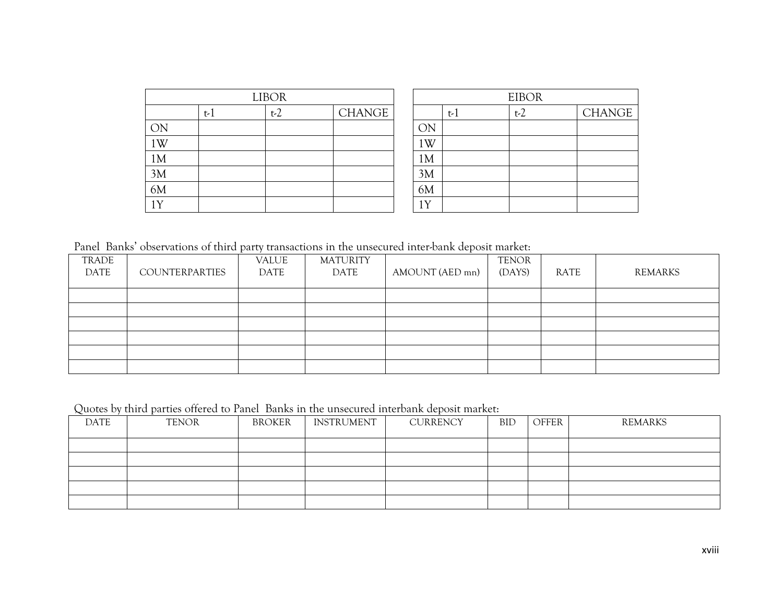|    |     | <b>EIBOR</b> |               |                         |     |  |       |
|----|-----|--------------|---------------|-------------------------|-----|--|-------|
|    | t-l | $t-2$        | <b>CHANGE</b> |                         | t-l |  | $t-2$ |
| ON |     |              |               | ОN                      |     |  |       |
| 1W |     |              |               | 1W                      |     |  |       |
| 1M |     |              |               | 1M                      |     |  |       |
| 3M |     |              |               | 3M                      |     |  |       |
| 6M |     |              |               | 6M                      |     |  |       |
| 1Y |     |              |               | $\overline{\mathbf{V}}$ |     |  |       |

Panel Banks' observations of third party transactions in the unsecured inter-bank deposit market:

| TRADE       |                       | VALUE | <b>MATURITY</b> |                 | <b>TENOR</b> |      |         |
|-------------|-----------------------|-------|-----------------|-----------------|--------------|------|---------|
| <b>DATE</b> | <b>COUNTERPARTIES</b> | DATE  | DATE            | AMOUNT (AED mn) | (DAYS)       | RATE | REMARKS |
|             |                       |       |                 |                 |              |      |         |
|             |                       |       |                 |                 |              |      |         |
|             |                       |       |                 |                 |              |      |         |
|             |                       |       |                 |                 |              |      |         |
|             |                       |       |                 |                 |              |      |         |
|             |                       |       |                 |                 |              |      |         |

Quotes by third parties offered to Panel Banks in the unsecured interbank deposit market:

| DATE | <b>TENOR</b> | BROKER | INSTRUMENT | <b>CURRENCY</b> | BID | OFFER | REMARKS |
|------|--------------|--------|------------|-----------------|-----|-------|---------|
|      |              |        |            |                 |     |       |         |
|      |              |        |            |                 |     |       |         |
|      |              |        |            |                 |     |       |         |
|      |              |        |            |                 |     |       |         |
|      |              |        |            |                 |     |       |         |

CHANGE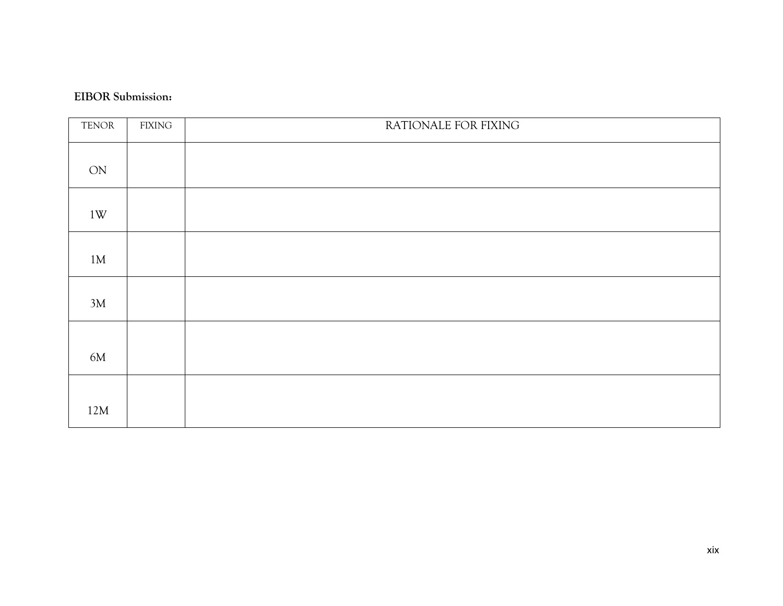### **EIBOR Submission:**

| <b>TENOR</b> | <b>FIXING</b> | RATIONALE FOR FIXING |
|--------------|---------------|----------------------|
| ON           |               |                      |
| 1W           |               |                      |
| 1M           |               |                      |
| 3M           |               |                      |
| 6M           |               |                      |
| 12M          |               |                      |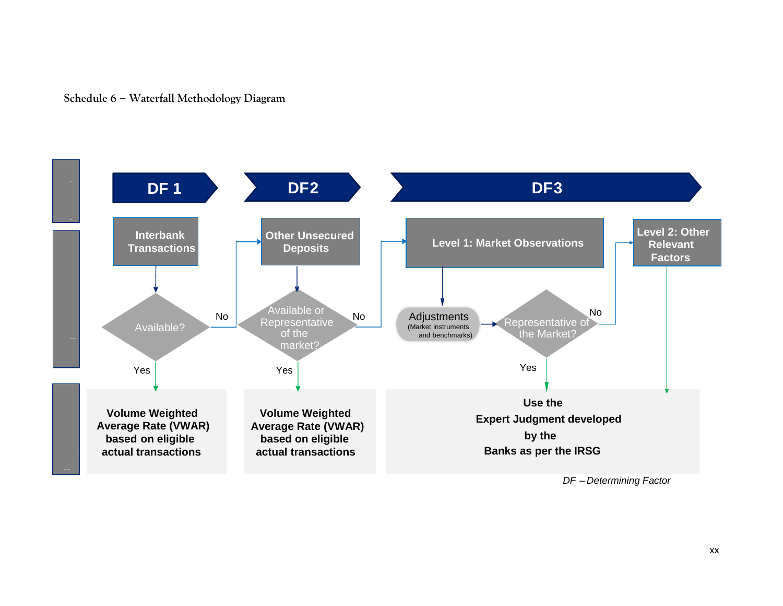



*DF – Determining Factor*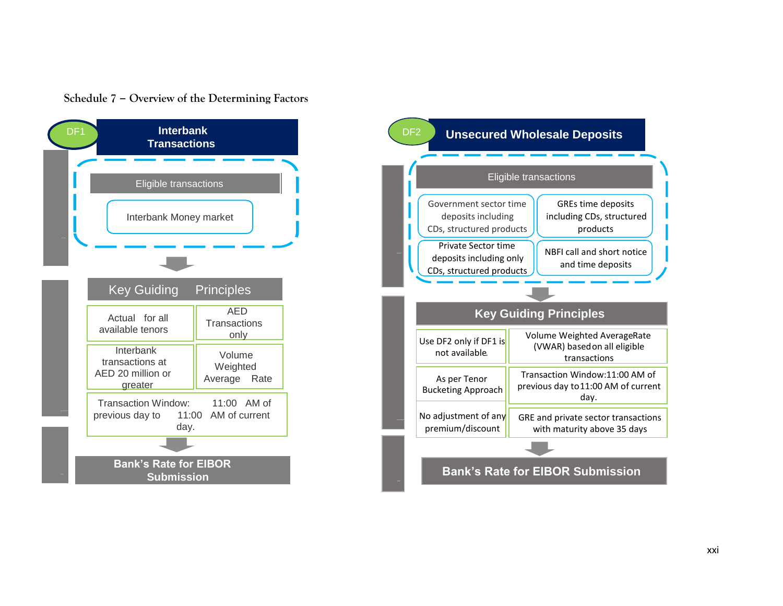



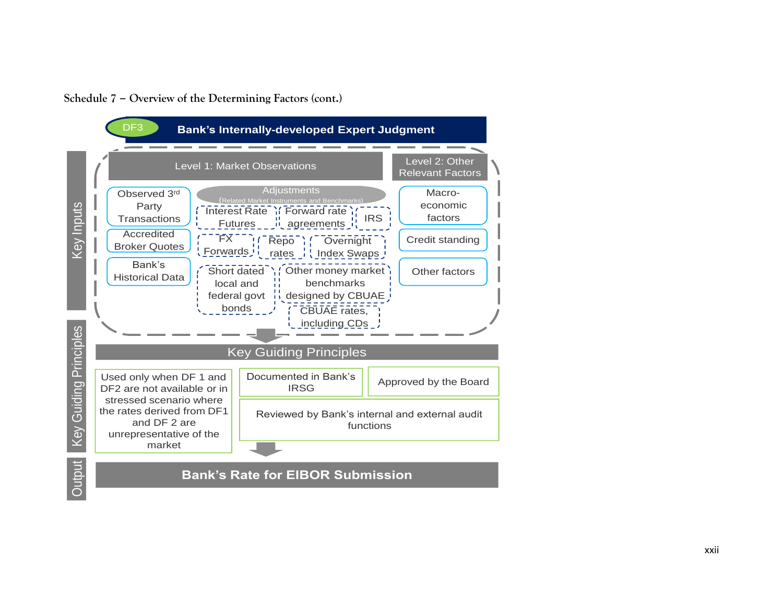



**Output** 

**Bank's Rate for EIBOR Submission**